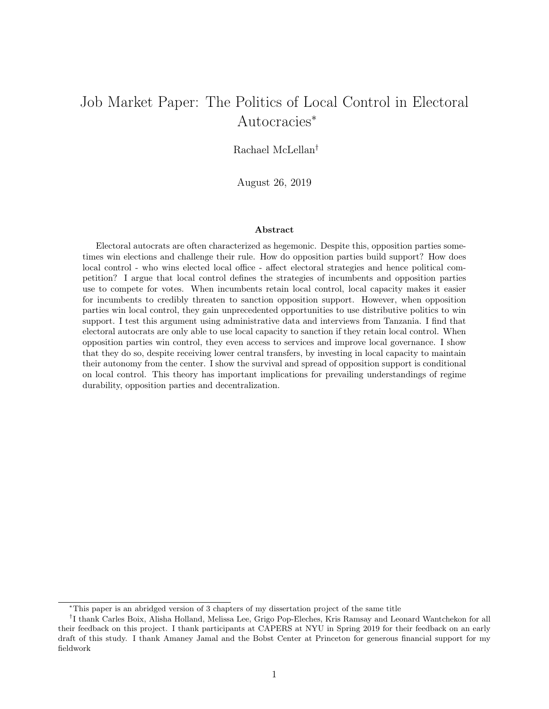# Job Market Paper: The Politics of Local Control in Electoral Autocracies<sup>∗</sup>

Rachael McLellan†

August 26, 2019

#### Abstract

Electoral autocrats are often characterized as hegemonic. Despite this, opposition parties sometimes win elections and challenge their rule. How do opposition parties build support? How does local control - who wins elected local office - affect electoral strategies and hence political competition? I argue that local control defines the strategies of incumbents and opposition parties use to compete for votes. When incumbents retain local control, local capacity makes it easier for incumbents to credibly threaten to sanction opposition support. However, when opposition parties win local control, they gain unprecedented opportunities to use distributive politics to win support. I test this argument using administrative data and interviews from Tanzania. I find that electoral autocrats are only able to use local capacity to sanction if they retain local control. When opposition parties win control, they even access to services and improve local governance. I show that they do so, despite receiving lower central transfers, by investing in local capacity to maintain their autonomy from the center. I show the survival and spread of opposition support is conditional on local control. This theory has important implications for prevailing understandings of regime durability, opposition parties and decentralization.

<sup>∗</sup>This paper is an abridged version of 3 chapters of my dissertation project of the same title

<sup>&</sup>lt;sup>†</sup>I thank Carles Boix, Alisha Holland, Melissa Lee, Grigo Pop-Eleches, Kris Ramsay and Leonard Wantchekon for all their feedback on this project. I thank participants at CAPERS at NYU in Spring 2019 for their feedback on an early draft of this study. I thank Amaney Jamal and the Bobst Center at Princeton for generous financial support for my fieldwork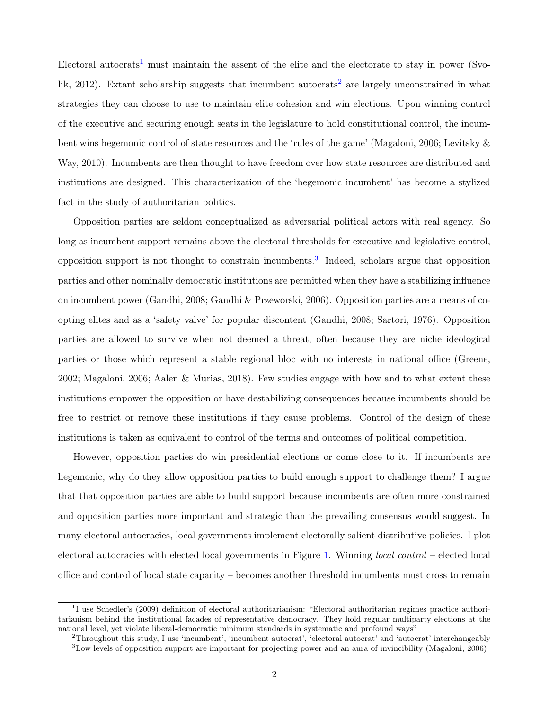Electoral autocrats<sup>[1](#page-1-0)</sup> must maintain the assent of the elite and the electorate to stay in power (Svolik,  $2012$  $2012$ ). Extant scholarship suggests that incumbent autocrats<sup>2</sup> are largely unconstrained in what strategies they can choose to use to maintain elite cohesion and win elections. Upon winning control of the executive and securing enough seats in the legislature to hold constitutional control, the incumbent wins hegemonic control of state resources and the 'rules of the game' (Magaloni, 2006; Levitsky & Way, 2010). Incumbents are then thought to have freedom over how state resources are distributed and institutions are designed. This characterization of the 'hegemonic incumbent' has become a stylized fact in the study of authoritarian politics.

Opposition parties are seldom conceptualized as adversarial political actors with real agency. So long as incumbent support remains above the electoral thresholds for executive and legislative control, opposition support is not thought to constrain incumbents.<sup>[3](#page-1-2)</sup> Indeed, scholars argue that opposition parties and other nominally democratic institutions are permitted when they have a stabilizing influence on incumbent power (Gandhi, 2008; Gandhi & Przeworski, 2006). Opposition parties are a means of coopting elites and as a 'safety valve' for popular discontent (Gandhi, 2008; Sartori, 1976). Opposition parties are allowed to survive when not deemed a threat, often because they are niche ideological parties or those which represent a stable regional bloc with no interests in national office (Greene, 2002; Magaloni, 2006; Aalen & Murias, 2018). Few studies engage with how and to what extent these institutions empower the opposition or have destabilizing consequences because incumbents should be free to restrict or remove these institutions if they cause problems. Control of the design of these institutions is taken as equivalent to control of the terms and outcomes of political competition.

However, opposition parties do win presidential elections or come close to it. If incumbents are hegemonic, why do they allow opposition parties to build enough support to challenge them? I argue that that opposition parties are able to build support because incumbents are often more constrained and opposition parties more important and strategic than the prevailing consensus would suggest. In many electoral autocracies, local governments implement electorally salient distributive policies. I plot electoral autocracies with elected local governments in Figure [1.](#page-2-0) Winning local control – elected local office and control of local state capacity – becomes another threshold incumbents must cross to remain

<span id="page-1-0"></span><sup>&</sup>lt;sup>1</sup>I use Schedler's (2009) definition of electoral authoritarianism: "Electoral authoritarian regimes practice authoritarianism behind the institutional facades of representative democracy. They hold regular multiparty elections at the national level, yet violate liberal-democratic minimum standards in systematic and profound ways"

<span id="page-1-1"></span><sup>2</sup>Throughout this study, I use 'incumbent', 'incumbent autocrat', 'electoral autocrat' and 'autocrat' interchangeably

<span id="page-1-2"></span> $3$ Low levels of opposition support are important for projecting power and an aura of invincibility (Magaloni, 2006)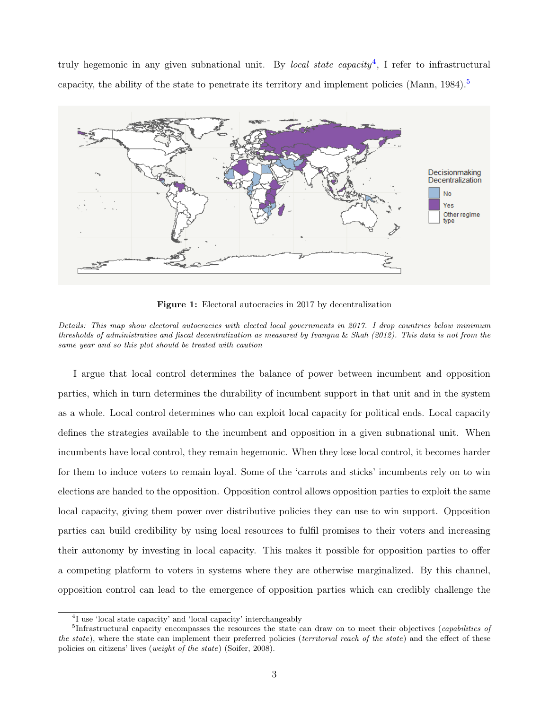truly hegemonic in any given subnational unit. By *local state capacity*<sup>[4](#page-2-1)</sup>, I refer to infrastructural capacity, the ability of the state to penetrate its territory and implement policies (Mann, 1984).<sup>[5](#page-2-2)</sup>

<span id="page-2-0"></span>

Figure 1: Electoral autocracies in 2017 by decentralization

I argue that local control determines the balance of power between incumbent and opposition parties, which in turn determines the durability of incumbent support in that unit and in the system as a whole. Local control determines who can exploit local capacity for political ends. Local capacity defines the strategies available to the incumbent and opposition in a given subnational unit. When incumbents have local control, they remain hegemonic. When they lose local control, it becomes harder for them to induce voters to remain loyal. Some of the 'carrots and sticks' incumbents rely on to win elections are handed to the opposition. Opposition control allows opposition parties to exploit the same local capacity, giving them power over distributive policies they can use to win support. Opposition parties can build credibility by using local resources to fulfil promises to their voters and increasing their autonomy by investing in local capacity. This makes it possible for opposition parties to offer a competing platform to voters in systems where they are otherwise marginalized. By this channel, opposition control can lead to the emergence of opposition parties which can credibly challenge the

Details: This map show electoral autocracies with elected local governments in 2017. I drop countries below minimum thresholds of administrative and fiscal decentralization as measured by Ivanyna & Shah (2012). This data is not from the same year and so this plot should be treated with caution

<span id="page-2-2"></span><span id="page-2-1"></span><sup>&</sup>lt;sup>4</sup>I use 'local state capacity' and 'local capacity' interchangeably

<sup>&</sup>lt;sup>5</sup>Infrastructural capacity encompasses the resources the state can draw on to meet their objectives (*capabilities of* the state), where the state can implement their preferred policies (territorial reach of the state) and the effect of these policies on citizens' lives (*weight of the state*) (Soifer, 2008).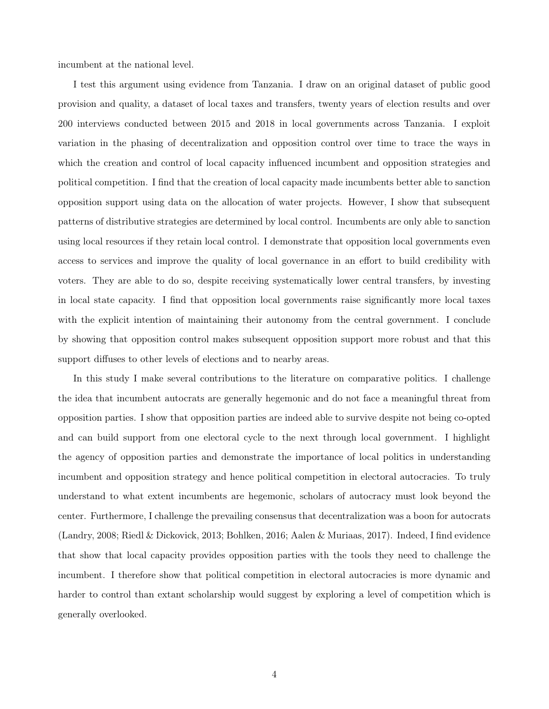incumbent at the national level.

I test this argument using evidence from Tanzania. I draw on an original dataset of public good provision and quality, a dataset of local taxes and transfers, twenty years of election results and over 200 interviews conducted between 2015 and 2018 in local governments across Tanzania. I exploit variation in the phasing of decentralization and opposition control over time to trace the ways in which the creation and control of local capacity influenced incumbent and opposition strategies and political competition. I find that the creation of local capacity made incumbents better able to sanction opposition support using data on the allocation of water projects. However, I show that subsequent patterns of distributive strategies are determined by local control. Incumbents are only able to sanction using local resources if they retain local control. I demonstrate that opposition local governments even access to services and improve the quality of local governance in an effort to build credibility with voters. They are able to do so, despite receiving systematically lower central transfers, by investing in local state capacity. I find that opposition local governments raise significantly more local taxes with the explicit intention of maintaining their autonomy from the central government. I conclude by showing that opposition control makes subsequent opposition support more robust and that this support diffuses to other levels of elections and to nearby areas.

In this study I make several contributions to the literature on comparative politics. I challenge the idea that incumbent autocrats are generally hegemonic and do not face a meaningful threat from opposition parties. I show that opposition parties are indeed able to survive despite not being co-opted and can build support from one electoral cycle to the next through local government. I highlight the agency of opposition parties and demonstrate the importance of local politics in understanding incumbent and opposition strategy and hence political competition in electoral autocracies. To truly understand to what extent incumbents are hegemonic, scholars of autocracy must look beyond the center. Furthermore, I challenge the prevailing consensus that decentralization was a boon for autocrats (Landry, 2008; Riedl & Dickovick, 2013; Bohlken, 2016; Aalen & Muriaas, 2017). Indeed, I find evidence that show that local capacity provides opposition parties with the tools they need to challenge the incumbent. I therefore show that political competition in electoral autocracies is more dynamic and harder to control than extant scholarship would suggest by exploring a level of competition which is generally overlooked.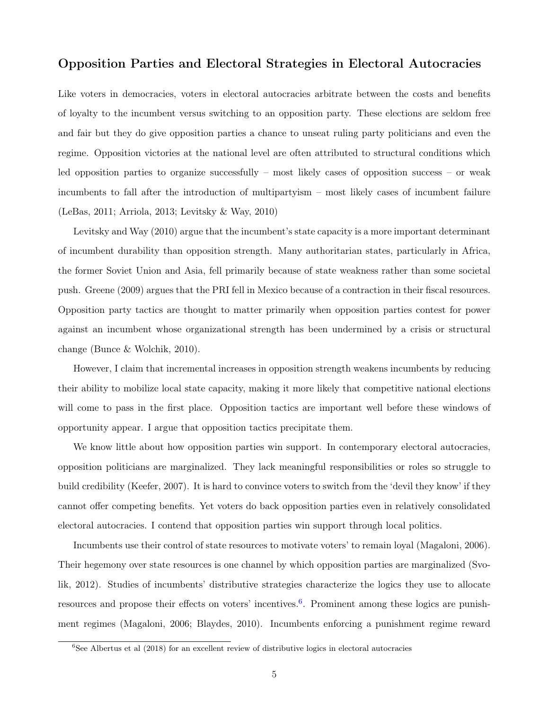## Opposition Parties and Electoral Strategies in Electoral Autocracies

Like voters in democracies, voters in electoral autocracies arbitrate between the costs and benefits of loyalty to the incumbent versus switching to an opposition party. These elections are seldom free and fair but they do give opposition parties a chance to unseat ruling party politicians and even the regime. Opposition victories at the national level are often attributed to structural conditions which led opposition parties to organize successfully – most likely cases of opposition success – or weak incumbents to fall after the introduction of multipartyism – most likely cases of incumbent failure (LeBas, 2011; Arriola, 2013; Levitsky & Way, 2010)

Levitsky and Way (2010) argue that the incumbent's state capacity is a more important determinant of incumbent durability than opposition strength. Many authoritarian states, particularly in Africa, the former Soviet Union and Asia, fell primarily because of state weakness rather than some societal push. Greene (2009) argues that the PRI fell in Mexico because of a contraction in their fiscal resources. Opposition party tactics are thought to matter primarily when opposition parties contest for power against an incumbent whose organizational strength has been undermined by a crisis or structural change (Bunce & Wolchik, 2010).

However, I claim that incremental increases in opposition strength weakens incumbents by reducing their ability to mobilize local state capacity, making it more likely that competitive national elections will come to pass in the first place. Opposition tactics are important well before these windows of opportunity appear. I argue that opposition tactics precipitate them.

We know little about how opposition parties win support. In contemporary electoral autocracies, opposition politicians are marginalized. They lack meaningful responsibilities or roles so struggle to build credibility (Keefer, 2007). It is hard to convince voters to switch from the 'devil they know' if they cannot offer competing benefits. Yet voters do back opposition parties even in relatively consolidated electoral autocracies. I contend that opposition parties win support through local politics.

Incumbents use their control of state resources to motivate voters' to remain loyal (Magaloni, 2006). Their hegemony over state resources is one channel by which opposition parties are marginalized (Svolik, 2012). Studies of incumbents' distributive strategies characterize the logics they use to allocate resources and propose their effects on voters' incentives.<sup>[6](#page-4-0)</sup>. Prominent among these logics are punishment regimes (Magaloni, 2006; Blaydes, 2010). Incumbents enforcing a punishment regime reward

<span id="page-4-0"></span> $6$ See Albertus et al (2018) for an excellent review of distributive logics in electoral autocracies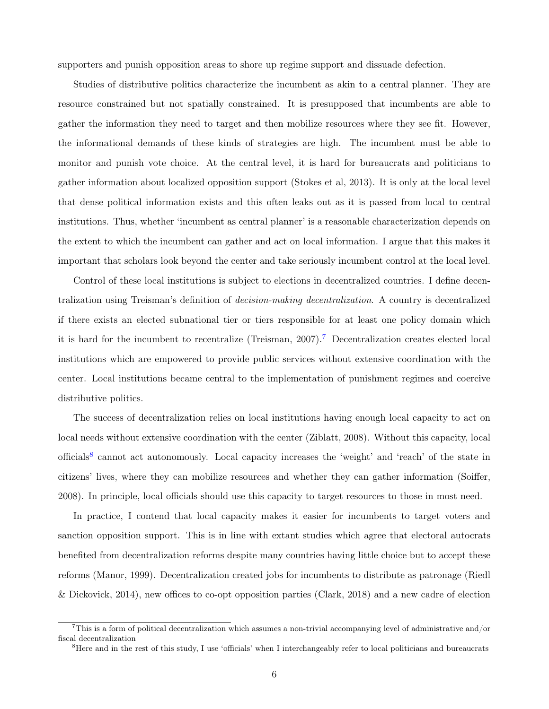supporters and punish opposition areas to shore up regime support and dissuade defection.

Studies of distributive politics characterize the incumbent as akin to a central planner. They are resource constrained but not spatially constrained. It is presupposed that incumbents are able to gather the information they need to target and then mobilize resources where they see fit. However, the informational demands of these kinds of strategies are high. The incumbent must be able to monitor and punish vote choice. At the central level, it is hard for bureaucrats and politicians to gather information about localized opposition support (Stokes et al, 2013). It is only at the local level that dense political information exists and this often leaks out as it is passed from local to central institutions. Thus, whether 'incumbent as central planner' is a reasonable characterization depends on the extent to which the incumbent can gather and act on local information. I argue that this makes it important that scholars look beyond the center and take seriously incumbent control at the local level.

Control of these local institutions is subject to elections in decentralized countries. I define decentralization using Treisman's definition of *decision-making decentralization*. A country is decentralized if there exists an elected subnational tier or tiers responsible for at least one policy domain which it is hard for the incumbent to recentralize (Treisman, 2007).[7](#page-5-0) Decentralization creates elected local institutions which are empowered to provide public services without extensive coordination with the center. Local institutions became central to the implementation of punishment regimes and coercive distributive politics.

The success of decentralization relies on local institutions having enough local capacity to act on local needs without extensive coordination with the center (Ziblatt, 2008). Without this capacity, local officials<sup>[8](#page-5-1)</sup> cannot act autonomously. Local capacity increases the 'weight' and 'reach' of the state in citizens' lives, where they can mobilize resources and whether they can gather information (Soiffer, 2008). In principle, local officials should use this capacity to target resources to those in most need.

In practice, I contend that local capacity makes it easier for incumbents to target voters and sanction opposition support. This is in line with extant studies which agree that electoral autocrats benefited from decentralization reforms despite many countries having little choice but to accept these reforms (Manor, 1999). Decentralization created jobs for incumbents to distribute as patronage (Riedl & Dickovick, 2014), new offices to co-opt opposition parties (Clark, 2018) and a new cadre of election

<span id="page-5-0"></span><sup>&</sup>lt;sup>7</sup>This is a form of political decentralization which assumes a non-trivial accompanying level of administrative and/or fiscal decentralization

<span id="page-5-1"></span><sup>&</sup>lt;sup>8</sup>Here and in the rest of this study, I use 'officials' when I interchangeably refer to local politicians and bureaucrats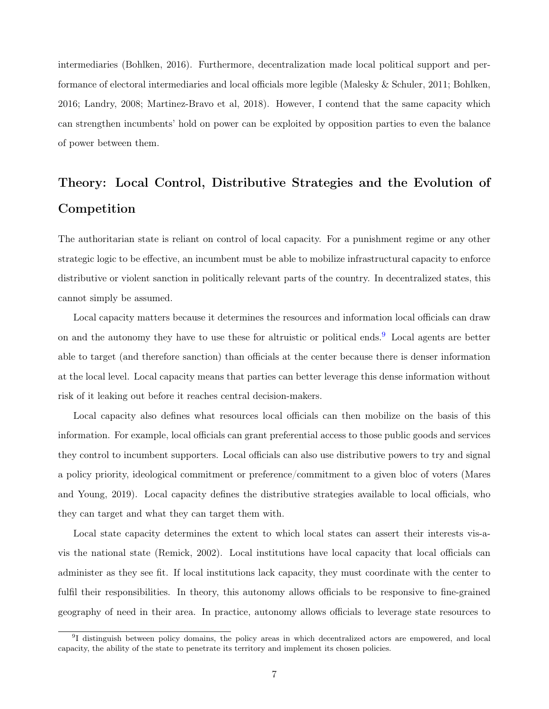intermediaries (Bohlken, 2016). Furthermore, decentralization made local political support and performance of electoral intermediaries and local officials more legible (Malesky & Schuler, 2011; Bohlken, 2016; Landry, 2008; Martinez-Bravo et al, 2018). However, I contend that the same capacity which can strengthen incumbents' hold on power can be exploited by opposition parties to even the balance of power between them.

# Theory: Local Control, Distributive Strategies and the Evolution of Competition

The authoritarian state is reliant on control of local capacity. For a punishment regime or any other strategic logic to be effective, an incumbent must be able to mobilize infrastructural capacity to enforce distributive or violent sanction in politically relevant parts of the country. In decentralized states, this cannot simply be assumed.

Local capacity matters because it determines the resources and information local officials can draw on and the autonomy they have to use these for altruistic or political ends.<sup>[9](#page-6-0)</sup> Local agents are better able to target (and therefore sanction) than officials at the center because there is denser information at the local level. Local capacity means that parties can better leverage this dense information without risk of it leaking out before it reaches central decision-makers.

Local capacity also defines what resources local officials can then mobilize on the basis of this information. For example, local officials can grant preferential access to those public goods and services they control to incumbent supporters. Local officials can also use distributive powers to try and signal a policy priority, ideological commitment or preference/commitment to a given bloc of voters (Mares and Young, 2019). Local capacity defines the distributive strategies available to local officials, who they can target and what they can target them with.

Local state capacity determines the extent to which local states can assert their interests vis-avis the national state (Remick, 2002). Local institutions have local capacity that local officials can administer as they see fit. If local institutions lack capacity, they must coordinate with the center to fulfil their responsibilities. In theory, this autonomy allows officials to be responsive to fine-grained geography of need in their area. In practice, autonomy allows officials to leverage state resources to

<span id="page-6-0"></span><sup>&</sup>lt;sup>9</sup>I distinguish between policy domains, the policy areas in which decentralized actors are empowered, and local capacity, the ability of the state to penetrate its territory and implement its chosen policies.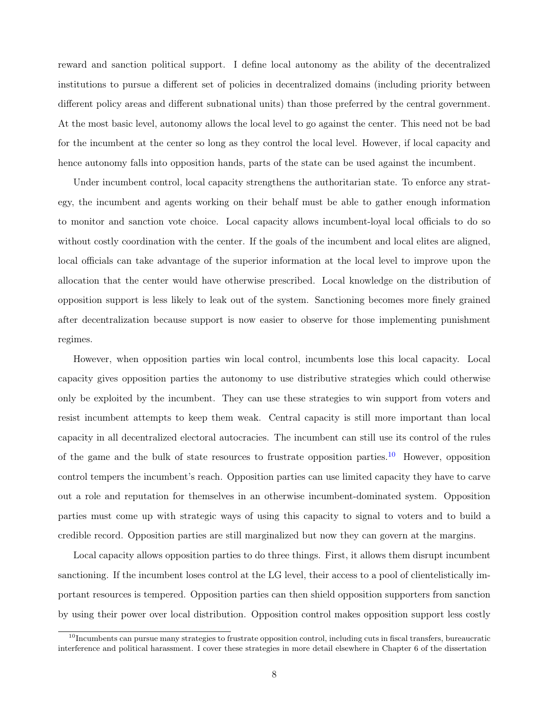reward and sanction political support. I define local autonomy as the ability of the decentralized institutions to pursue a different set of policies in decentralized domains (including priority between different policy areas and different subnational units) than those preferred by the central government. At the most basic level, autonomy allows the local level to go against the center. This need not be bad for the incumbent at the center so long as they control the local level. However, if local capacity and hence autonomy falls into opposition hands, parts of the state can be used against the incumbent.

Under incumbent control, local capacity strengthens the authoritarian state. To enforce any strategy, the incumbent and agents working on their behalf must be able to gather enough information to monitor and sanction vote choice. Local capacity allows incumbent-loyal local officials to do so without costly coordination with the center. If the goals of the incumbent and local elites are aligned, local officials can take advantage of the superior information at the local level to improve upon the allocation that the center would have otherwise prescribed. Local knowledge on the distribution of opposition support is less likely to leak out of the system. Sanctioning becomes more finely grained after decentralization because support is now easier to observe for those implementing punishment regimes.

However, when opposition parties win local control, incumbents lose this local capacity. Local capacity gives opposition parties the autonomy to use distributive strategies which could otherwise only be exploited by the incumbent. They can use these strategies to win support from voters and resist incumbent attempts to keep them weak. Central capacity is still more important than local capacity in all decentralized electoral autocracies. The incumbent can still use its control of the rules of the game and the bulk of state resources to frustrate opposition parties.[10](#page-7-0) However, opposition control tempers the incumbent's reach. Opposition parties can use limited capacity they have to carve out a role and reputation for themselves in an otherwise incumbent-dominated system. Opposition parties must come up with strategic ways of using this capacity to signal to voters and to build a credible record. Opposition parties are still marginalized but now they can govern at the margins.

Local capacity allows opposition parties to do three things. First, it allows them disrupt incumbent sanctioning. If the incumbent loses control at the LG level, their access to a pool of clientelistically important resources is tempered. Opposition parties can then shield opposition supporters from sanction by using their power over local distribution. Opposition control makes opposition support less costly

<span id="page-7-0"></span> $10$ Incumbents can pursue many strategies to frustrate opposition control, including cuts in fiscal transfers, bureaucratic interference and political harassment. I cover these strategies in more detail elsewhere in Chapter 6 of the dissertation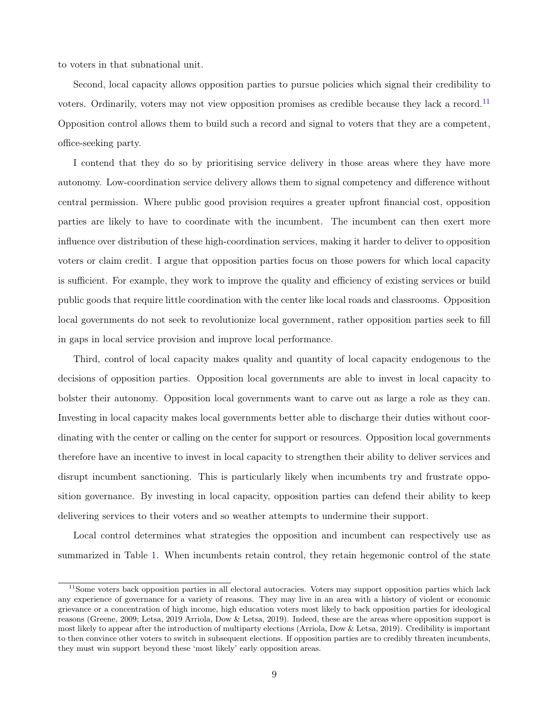to voters in that subnational unit.

Second, local capacity allows opposition parties to pursue policies which signal their credibility to voters. Ordinarily, voters may not view opposition promises as credible because they lack a record.<sup>[11](#page-8-0)</sup> Opposition control allows them to build such a record and signal to voters that they are a competent, office-seeking party.

I contend that they do so by prioritising service delivery in those areas where they have more autonomy. Low-coordination service delivery allows them to signal competency and difference without central permission. Where public good provision requires a greater upfront financial cost, opposition parties are likely to have to coordinate with the incumbent. The incumbent can then exert more influence over distribution of these high-coordination services, making it harder to deliver to opposition voters or claim credit. I argue that opposition parties focus on those powers for which local capacity is sufficient. For example, they work to improve the quality and efficiency of existing services or build public goods that require little coordination with the center like local roads and classrooms. Opposition local governments do not seek to revolutionize local government, rather opposition parties seek to fill in gaps in local service provision and improve local performance.

Third, control of local capacity makes quality and quantity of local capacity endogenous to the decisions of opposition parties. Opposition local governments are able to invest in local capacity to bolster their autonomy. Opposition local governments want to carve out as large a role as they can. Investing in local capacity makes local governments better able to discharge their duties without coordinating with the center or calling on the center for support or resources. Opposition local governments therefore have an incentive to invest in local capacity to strengthen their ability to deliver services and disrupt incumbent sanctioning. This is particularly likely when incumbents try and frustrate opposition governance. By investing in local capacity, opposition parties can defend their ability to keep delivering services to their voters and so weather attempts to undermine their support.

Local control determines what strategies the opposition and incumbent can respectively use as summarized in Table [1.](#page-9-0) When incumbents retain control, they retain hegemonic control of the state

<span id="page-8-0"></span><sup>&</sup>lt;sup>11</sup>Some voters back opposition parties in all electoral autocracies. Voters may support opposition parties which lack any experience of governance for a variety of reasons. They may live in an area with a history of violent or economic grievance or a concentration of high income, high education voters most likely to back opposition parties for ideological reasons (Greene, 2009; Letsa, 2019 Arriola, Dow & Letsa, 2019). Indeed, these are the areas where opposition support is most likely to appear after the introduction of multiparty elections (Arriola, Dow & Letsa, 2019). Credibility is important to then convince other voters to switch in subsequent elections. If opposition parties are to credibly threaten incumbents, they must win support beyond these 'most likely' early opposition areas.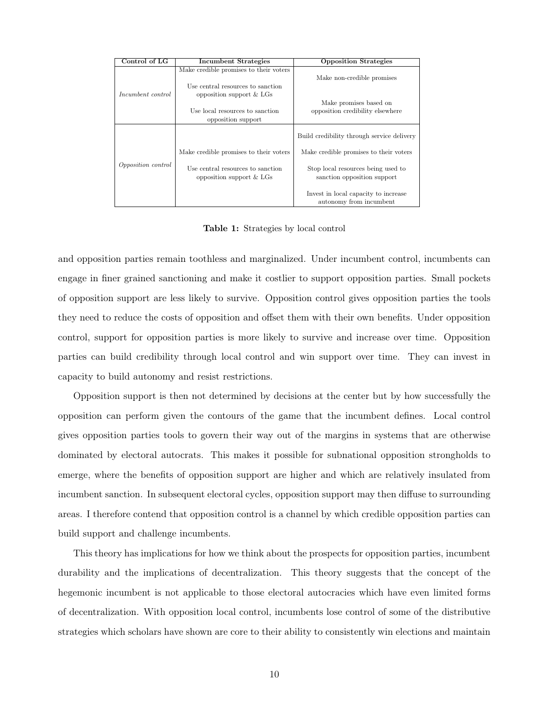<span id="page-9-0"></span>

| Control of LG             | Incumbent Strategies                                                        | <b>Opposition Strategies</b>                                      |
|---------------------------|-----------------------------------------------------------------------------|-------------------------------------------------------------------|
|                           | Make credible promises to their voters<br>Use central resources to sanction | Make non-credible promises                                        |
| Incumbent control         | opposition support $&$ LGs                                                  | Make promises based on                                            |
|                           | Use local resources to sanction<br>opposition support                       | opposition credibility elsewhere                                  |
|                           |                                                                             | Build credibility through service delivery                        |
|                           | Make credible promises to their voters                                      | Make credible promises to their voters                            |
| <i>Opposition control</i> | Use central resources to sanction<br>opposition support $&$ LGs             | Stop local resources being used to<br>sanction opposition support |
|                           |                                                                             | Invest in local capacity to increase<br>autonomy from incumbent   |

Table 1: Strategies by local control

and opposition parties remain toothless and marginalized. Under incumbent control, incumbents can engage in finer grained sanctioning and make it costlier to support opposition parties. Small pockets of opposition support are less likely to survive. Opposition control gives opposition parties the tools they need to reduce the costs of opposition and offset them with their own benefits. Under opposition control, support for opposition parties is more likely to survive and increase over time. Opposition parties can build credibility through local control and win support over time. They can invest in capacity to build autonomy and resist restrictions.

Opposition support is then not determined by decisions at the center but by how successfully the opposition can perform given the contours of the game that the incumbent defines. Local control gives opposition parties tools to govern their way out of the margins in systems that are otherwise dominated by electoral autocrats. This makes it possible for subnational opposition strongholds to emerge, where the benefits of opposition support are higher and which are relatively insulated from incumbent sanction. In subsequent electoral cycles, opposition support may then diffuse to surrounding areas. I therefore contend that opposition control is a channel by which credible opposition parties can build support and challenge incumbents.

This theory has implications for how we think about the prospects for opposition parties, incumbent durability and the implications of decentralization. This theory suggests that the concept of the hegemonic incumbent is not applicable to those electoral autocracies which have even limited forms of decentralization. With opposition local control, incumbents lose control of some of the distributive strategies which scholars have shown are core to their ability to consistently win elections and maintain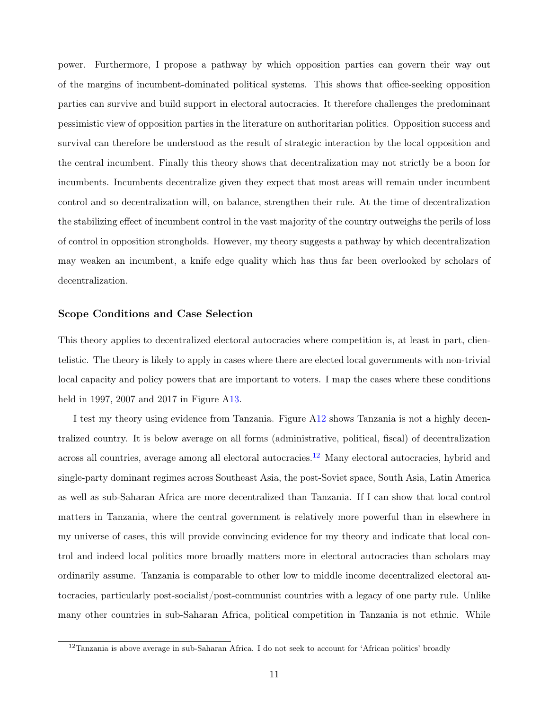power. Furthermore, I propose a pathway by which opposition parties can govern their way out of the margins of incumbent-dominated political systems. This shows that office-seeking opposition parties can survive and build support in electoral autocracies. It therefore challenges the predominant pessimistic view of opposition parties in the literature on authoritarian politics. Opposition success and survival can therefore be understood as the result of strategic interaction by the local opposition and the central incumbent. Finally this theory shows that decentralization may not strictly be a boon for incumbents. Incumbents decentralize given they expect that most areas will remain under incumbent control and so decentralization will, on balance, strengthen their rule. At the time of decentralization the stabilizing effect of incumbent control in the vast majority of the country outweighs the perils of loss of control in opposition strongholds. However, my theory suggests a pathway by which decentralization may weaken an incumbent, a knife edge quality which has thus far been overlooked by scholars of decentralization.

#### Scope Conditions and Case Selection

This theory applies to decentralized electoral autocracies where competition is, at least in part, clientelistic. The theory is likely to apply in cases where there are elected local governments with non-trivial local capacity and policy powers that are important to voters. I map the cases where these conditions held in 1997, 2007 and 2017 in Figure [A13.](#page-50-0)

I test my theory using evidence from Tanzania. Figure [A12](#page-49-0) shows Tanzania is not a highly decentralized country. It is below average on all forms (administrative, political, fiscal) of decentralization across all countries, average among all electoral autocracies.<sup>[12](#page-10-0)</sup> Many electoral autocracies, hybrid and single-party dominant regimes across Southeast Asia, the post-Soviet space, South Asia, Latin America as well as sub-Saharan Africa are more decentralized than Tanzania. If I can show that local control matters in Tanzania, where the central government is relatively more powerful than in elsewhere in my universe of cases, this will provide convincing evidence for my theory and indicate that local control and indeed local politics more broadly matters more in electoral autocracies than scholars may ordinarily assume. Tanzania is comparable to other low to middle income decentralized electoral autocracies, particularly post-socialist/post-communist countries with a legacy of one party rule. Unlike many other countries in sub-Saharan Africa, political competition in Tanzania is not ethnic. While

<span id="page-10-0"></span> $12$ Tanzania is above average in sub-Saharan Africa. I do not seek to account for 'African politics' broadly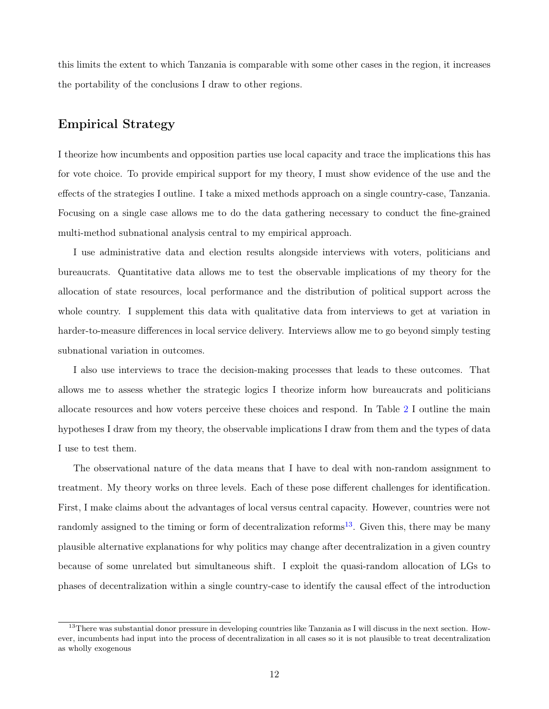this limits the extent to which Tanzania is comparable with some other cases in the region, it increases the portability of the conclusions I draw to other regions.

## Empirical Strategy

I theorize how incumbents and opposition parties use local capacity and trace the implications this has for vote choice. To provide empirical support for my theory, I must show evidence of the use and the effects of the strategies I outline. I take a mixed methods approach on a single country-case, Tanzania. Focusing on a single case allows me to do the data gathering necessary to conduct the fine-grained multi-method subnational analysis central to my empirical approach.

I use administrative data and election results alongside interviews with voters, politicians and bureaucrats. Quantitative data allows me to test the observable implications of my theory for the allocation of state resources, local performance and the distribution of political support across the whole country. I supplement this data with qualitative data from interviews to get at variation in harder-to-measure differences in local service delivery. Interviews allow me to go beyond simply testing subnational variation in outcomes.

I also use interviews to trace the decision-making processes that leads to these outcomes. That allows me to assess whether the strategic logics I theorize inform how bureaucrats and politicians allocate resources and how voters perceive these choices and respond. In Table [2](#page-12-0) I outline the main hypotheses I draw from my theory, the observable implications I draw from them and the types of data I use to test them.

The observational nature of the data means that I have to deal with non-random assignment to treatment. My theory works on three levels. Each of these pose different challenges for identification. First, I make claims about the advantages of local versus central capacity. However, countries were not randomly assigned to the timing or form of decentralization reforms<sup>[13](#page-11-0)</sup>. Given this, there may be many plausible alternative explanations for why politics may change after decentralization in a given country because of some unrelated but simultaneous shift. I exploit the quasi-random allocation of LGs to phases of decentralization within a single country-case to identify the causal effect of the introduction

<span id="page-11-0"></span> $13$ There was substantial donor pressure in developing countries like Tanzania as I will discuss in the next section. However, incumbents had input into the process of decentralization in all cases so it is not plausible to treat decentralization as wholly exogenous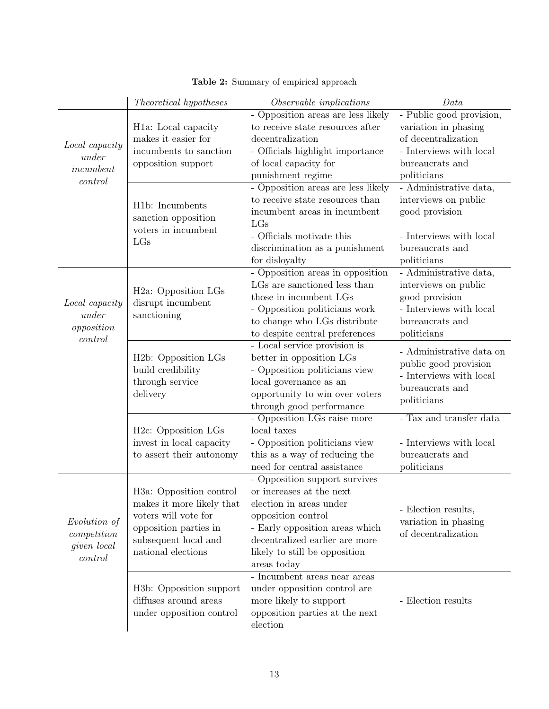<span id="page-12-0"></span>

|                     | Theoretical hypotheses                                        | Observable implications                                               | Data                     |
|---------------------|---------------------------------------------------------------|-----------------------------------------------------------------------|--------------------------|
|                     |                                                               | - Opposition areas are less likely                                    | - Public good provision, |
|                     | H <sub>1</sub> a: Local capacity                              | to receive state resources after                                      | variation in phasing     |
| Local capacity      | makes it easier for                                           | decentralization                                                      | of decentralization      |
| under               | incumbents to sanction                                        | - Officials highlight importance                                      | - Interviews with local  |
| in cum bent         | opposition support                                            | of local capacity for                                                 | bureaucrats and          |
| control             |                                                               | punishment regime                                                     | politicians              |
|                     |                                                               | - Opposition areas are less likely                                    | - Administrative data,   |
|                     | H1b: Incumbents                                               | to receive state resources than                                       | interviews on public     |
|                     | sanction opposition                                           | incumbent areas in incumbent<br>LGs                                   | good provision           |
|                     | voters in incumbent                                           | - Officials motivate this                                             | - Interviews with local  |
|                     | LGs                                                           | discrimination as a punishment                                        | bureaucrats and          |
|                     |                                                               | for disloyalty                                                        | politicians              |
|                     |                                                               | - Opposition areas in opposition                                      | - Administrative data,   |
|                     |                                                               | LGs are sanctioned less than                                          | interviews on public     |
|                     | H <sub>2</sub> a: Opposition LGs                              | those in incumbent LGs                                                | good provision           |
| Local capacity      | disrupt incumbent                                             | - Opposition politicians work                                         | - Interviews with local  |
| under               | sanctioning                                                   | to change who LGs distribute                                          | bureaucrats and          |
| opposition          |                                                               | to despite central preferences                                        | politicians              |
| control             |                                                               | - Local service provision is                                          |                          |
|                     | H <sub>2</sub> b: Opposition LGs                              | better in opposition LGs                                              | - Administrative data on |
|                     | build credibility                                             | - Opposition politicians view                                         | public good provision    |
|                     | through service                                               | local governance as an                                                | - Interviews with local  |
|                     | delivery                                                      | opportunity to win over voters                                        | bureaucrats and          |
|                     |                                                               | through good performance                                              | politicians              |
|                     |                                                               | - Opposition LGs raise more                                           | - Tax and transfer data  |
|                     | H <sub>2</sub> c: Opposition LGs                              | local taxes                                                           |                          |
|                     | invest in local capacity                                      | - Opposition politicians view                                         | - Interviews with local  |
|                     | to assert their autonomy                                      | this as a way of reducing the                                         | bureaucrats and          |
|                     |                                                               | need for central assistance                                           | politicians              |
|                     |                                                               | - Opposition support survives                                         |                          |
|                     | H <sub>3</sub> a: Opposition control                          | or increases at the next                                              |                          |
|                     | makes it more likely that                                     | election in areas under                                               | - Election results,      |
| Evolution of        | voters will vote for                                          | opposition control                                                    | variation in phasing     |
| $\emph{completion}$ | opposition parties in                                         | - Early opposition areas which                                        | of decentralization      |
| given local         | subsequent local and                                          | decentralized earlier are more                                        |                          |
| control             | national elections                                            | likely to still be opposition                                         |                          |
|                     |                                                               | areas today                                                           |                          |
|                     |                                                               | $\mbox{-}$ Incumbent areas near areas<br>under opposition control are |                          |
|                     | H <sub>3</sub> b: Opposition support<br>diffuses around areas | more likely to support                                                | - Election results       |
|                     | under opposition control                                      | opposition parties at the next                                        |                          |
|                     |                                                               | election                                                              |                          |
|                     |                                                               |                                                                       |                          |

|  |  | Table 2: Summary of empirical approach |  |
|--|--|----------------------------------------|--|
|--|--|----------------------------------------|--|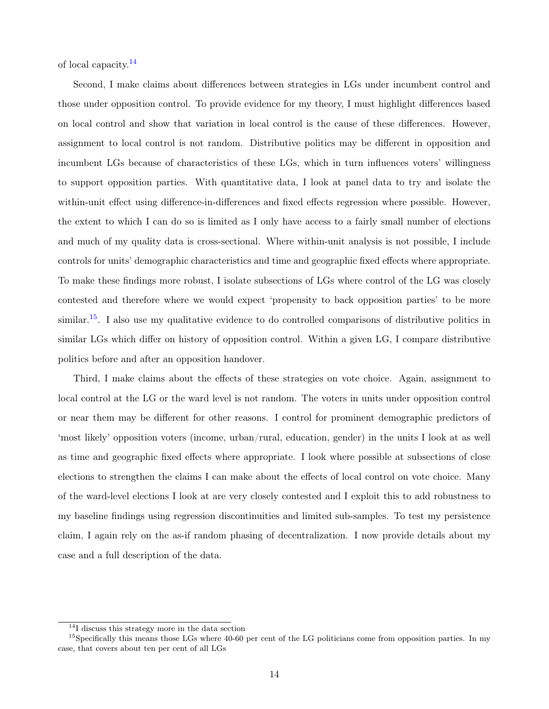of local capacity.[14](#page-13-0)

Second, I make claims about differences between strategies in LGs under incumbent control and those under opposition control. To provide evidence for my theory, I must highlight differences based on local control and show that variation in local control is the cause of these differences. However, assignment to local control is not random. Distributive politics may be different in opposition and incumbent LGs because of characteristics of these LGs, which in turn influences voters' willingness to support opposition parties. With quantitative data, I look at panel data to try and isolate the within-unit effect using difference-in-differences and fixed effects regression where possible. However, the extent to which I can do so is limited as I only have access to a fairly small number of elections and much of my quality data is cross-sectional. Where within-unit analysis is not possible, I include controls for units' demographic characteristics and time and geographic fixed effects where appropriate. To make these findings more robust, I isolate subsections of LGs where control of the LG was closely contested and therefore where we would expect 'propensity to back opposition parties' to be more  $\sin \theta$ .<sup>[15](#page-13-1)</sup>. I also use my qualitative evidence to do controlled comparisons of distributive politics in similar LGs which differ on history of opposition control. Within a given LG, I compare distributive politics before and after an opposition handover.

Third, I make claims about the effects of these strategies on vote choice. Again, assignment to local control at the LG or the ward level is not random. The voters in units under opposition control or near them may be different for other reasons. I control for prominent demographic predictors of 'most likely' opposition voters (income, urban/rural, education, gender) in the units I look at as well as time and geographic fixed effects where appropriate. I look where possible at subsections of close elections to strengthen the claims I can make about the effects of local control on vote choice. Many of the ward-level elections I look at are very closely contested and I exploit this to add robustness to my baseline findings using regression discontinuities and limited sub-samples. To test my persistence claim, I again rely on the as-if random phasing of decentralization. I now provide details about my case and a full description of the data.

<span id="page-13-1"></span><span id="page-13-0"></span><sup>&</sup>lt;sup>14</sup>I discuss this strategy more in the data section

 $^{15}$ Specifically this means those LGs where 40-60 per cent of the LG politicians come from opposition parties. In my case, that covers about ten per cent of all LGs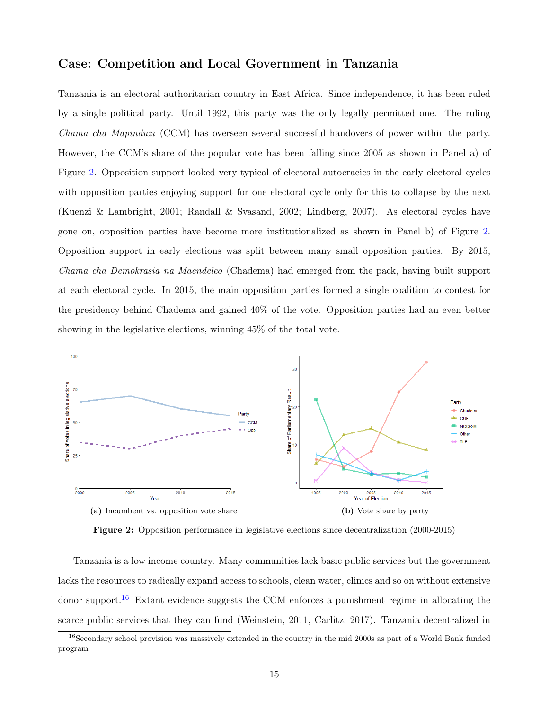## Case: Competition and Local Government in Tanzania

Tanzania is an electoral authoritarian country in East Africa. Since independence, it has been ruled by a single political party. Until 1992, this party was the only legally permitted one. The ruling Chama cha Mapinduzi (CCM) has overseen several successful handovers of power within the party. However, the CCM's share of the popular vote has been falling since 2005 as shown in Panel a) of Figure [2.](#page-14-0) Opposition support looked very typical of electoral autocracies in the early electoral cycles with opposition parties enjoying support for one electoral cycle only for this to collapse by the next (Kuenzi & Lambright, 2001; Randall & Svasand, 2002; Lindberg, 2007). As electoral cycles have gone on, opposition parties have become more institutionalized as shown in Panel b) of Figure [2.](#page-14-0) Opposition support in early elections was split between many small opposition parties. By 2015, Chama cha Demokrasia na Maendeleo (Chadema) had emerged from the pack, having built support at each electoral cycle. In 2015, the main opposition parties formed a single coalition to contest for the presidency behind Chadema and gained 40% of the vote. Opposition parties had an even better showing in the legislative elections, winning 45% of the total vote.

<span id="page-14-0"></span>

Figure 2: Opposition performance in legislative elections since decentralization (2000-2015)

Tanzania is a low income country. Many communities lack basic public services but the government lacks the resources to radically expand access to schools, clean water, clinics and so on without extensive donor support.<sup>[16](#page-14-1)</sup> Extant evidence suggests the CCM enforces a punishment regime in allocating the scarce public services that they can fund (Weinstein, 2011, Carlitz, 2017). Tanzania decentralized in

<span id="page-14-1"></span><sup>&</sup>lt;sup>16</sup>Secondary school provision was massively extended in the country in the mid 2000s as part of a World Bank funded program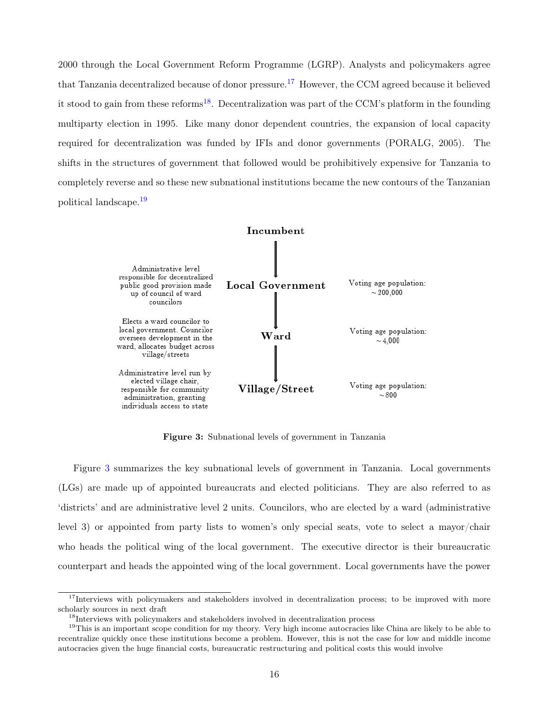2000 through the Local Government Reform Programme (LGRP). Analysts and policymakers agree that Tanzania decentralized because of donor pressure.[17](#page-15-0) However, the CCM agreed because it believed it stood to gain from these reforms<sup>[18](#page-15-1)</sup>. Decentralization was part of the CCM's platform in the founding multiparty election in 1995. Like many donor dependent countries, the expansion of local capacity required for decentralization was funded by IFIs and donor governments (PORALG, 2005). The shifts in the structures of government that followed would be prohibitively expensive for Tanzania to completely reverse and so these new subnational institutions became the new contours of the Tanzanian political landscape.[19](#page-15-2)

<span id="page-15-3"></span>

Figure 3: Subnational levels of government in Tanzania

Figure [3](#page-15-3) summarizes the key subnational levels of government in Tanzania. Local governments (LGs) are made up of appointed bureaucrats and elected politicians. They are also referred to as 'districts' and are administrative level 2 units. Councilors, who are elected by a ward (administrative level 3) or appointed from party lists to women's only special seats, vote to select a mayor/chair who heads the political wing of the local government. The executive director is their bureaucratic counterpart and heads the appointed wing of the local government. Local governments have the power

<span id="page-15-0"></span><sup>&</sup>lt;sup>17</sup>Interviews with policymakers and stakeholders involved in decentralization process; to be improved with more scholarly sources in next draft

<span id="page-15-2"></span><span id="page-15-1"></span><sup>&</sup>lt;sup>18</sup>Interviews with policymakers and stakeholders involved in decentralization process

 $19$ This is an important scope condition for my theory. Very high income autocracies like China are likely to be able to recentralize quickly once these institutions become a problem. However, this is not the case for low and middle income autocracies given the huge financial costs, bureaucratic restructuring and political costs this would involve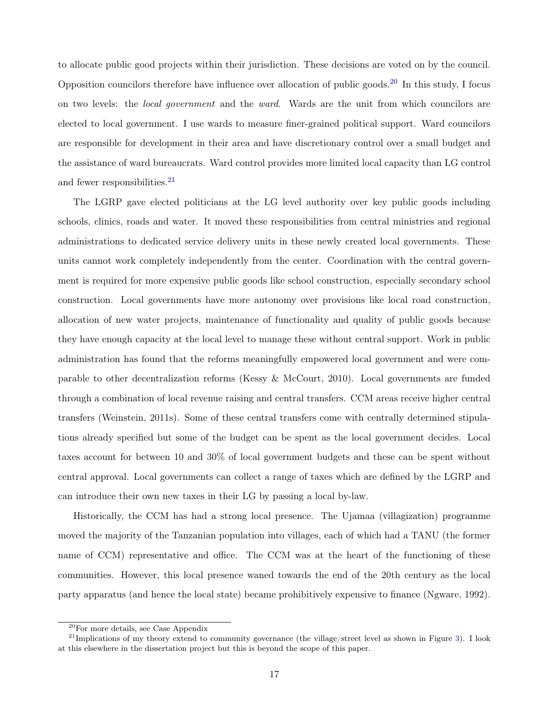to allocate public good projects within their jurisdiction. These decisions are voted on by the council. Opposition councilors therefore have influence over allocation of public goods.<sup>[20](#page-16-0)</sup> In this study, I focus on two levels: the local government and the ward. Wards are the unit from which councilors are elected to local government. I use wards to measure finer-grained political support. Ward councilors are responsible for development in their area and have discretionary control over a small budget and the assistance of ward bureaucrats. Ward control provides more limited local capacity than LG control and fewer responsibilities.<sup>[21](#page-16-1)</sup>

The LGRP gave elected politicians at the LG level authority over key public goods including schools, clinics, roads and water. It moved these responsibilities from central ministries and regional administrations to dedicated service delivery units in these newly created local governments. These units cannot work completely independently from the center. Coordination with the central government is required for more expensive public goods like school construction, especially secondary school construction. Local governments have more autonomy over provisions like local road construction, allocation of new water projects, maintenance of functionality and quality of public goods because they have enough capacity at the local level to manage these without central support. Work in public administration has found that the reforms meaningfully empowered local government and were comparable to other decentralization reforms (Kessy & McCourt, 2010). Local governments are funded through a combination of local revenue raising and central transfers. CCM areas receive higher central transfers (Weinstein, 2011s). Some of these central transfers come with centrally determined stipulations already specified but some of the budget can be spent as the local government decides. Local taxes account for between 10 and 30% of local government budgets and these can be spent without central approval. Local governments can collect a range of taxes which are defined by the LGRP and can introduce their own new taxes in their LG by passing a local by-law.

Historically, the CCM has had a strong local presence. The Ujamaa (villagization) programme moved the majority of the Tanzanian population into villages, each of which had a TANU (the former name of CCM) representative and office. The CCM was at the heart of the functioning of these communities. However, this local presence waned towards the end of the 20th century as the local party apparatus (and hence the local state) became prohibitively expensive to finance (Ngware, 1992).

<span id="page-16-1"></span><span id="page-16-0"></span><sup>20</sup>For more details, see Case Appendix

 $^{21}$ Implications of my theory extend to community governance (the village/street level as shown in Figure [3\)](#page-15-3). I look at this elsewhere in the dissertation project but this is beyond the scope of this paper.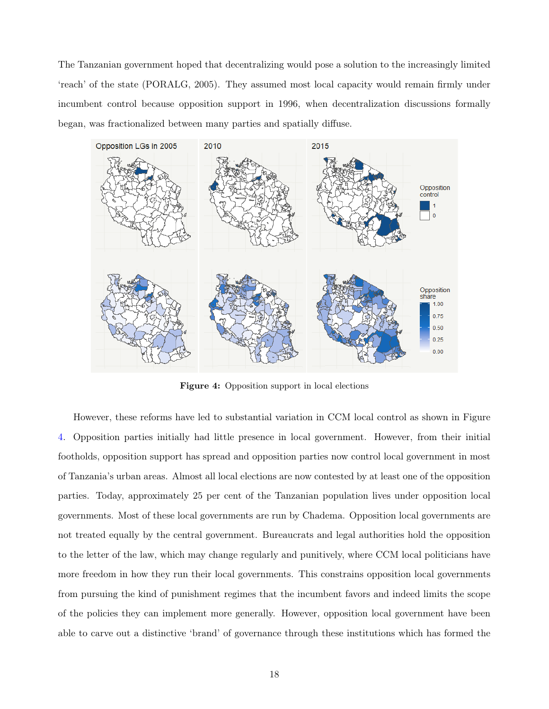The Tanzanian government hoped that decentralizing would pose a solution to the increasingly limited 'reach' of the state (PORALG, 2005). They assumed most local capacity would remain firmly under incumbent control because opposition support in 1996, when decentralization discussions formally began, was fractionalized between many parties and spatially diffuse.

<span id="page-17-0"></span>

Figure 4: Opposition support in local elections

However, these reforms have led to substantial variation in CCM local control as shown in Figure [4.](#page-17-0) Opposition parties initially had little presence in local government. However, from their initial footholds, opposition support has spread and opposition parties now control local government in most of Tanzania's urban areas. Almost all local elections are now contested by at least one of the opposition parties. Today, approximately 25 per cent of the Tanzanian population lives under opposition local governments. Most of these local governments are run by Chadema. Opposition local governments are not treated equally by the central government. Bureaucrats and legal authorities hold the opposition to the letter of the law, which may change regularly and punitively, where CCM local politicians have more freedom in how they run their local governments. This constrains opposition local governments from pursuing the kind of punishment regimes that the incumbent favors and indeed limits the scope of the policies they can implement more generally. However, opposition local government have been able to carve out a distinctive 'brand' of governance through these institutions which has formed the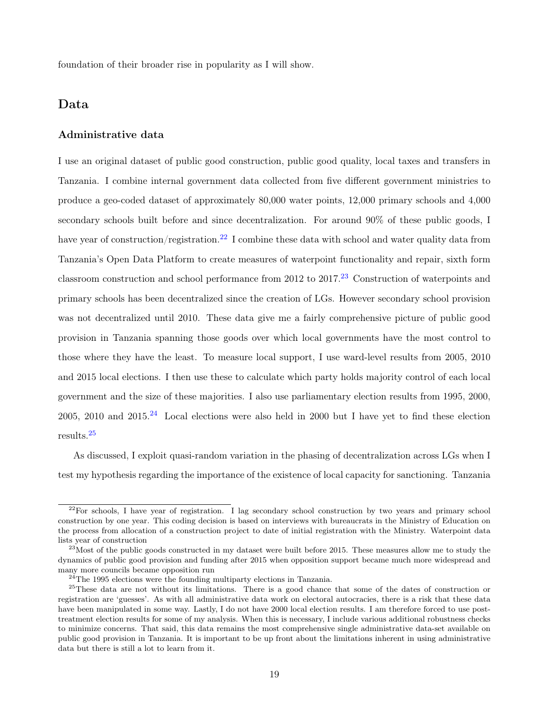foundation of their broader rise in popularity as I will show.

## Data

#### Administrative data

I use an original dataset of public good construction, public good quality, local taxes and transfers in Tanzania. I combine internal government data collected from five different government ministries to produce a geo-coded dataset of approximately 80,000 water points, 12,000 primary schools and 4,000 secondary schools built before and since decentralization. For around 90% of these public goods, I have year of construction/registration.<sup>[22](#page-18-0)</sup> I combine these data with school and water quality data from Tanzania's Open Data Platform to create measures of waterpoint functionality and repair, sixth form classroom construction and school performance from 2012 to 2017.<sup>[23](#page-18-1)</sup> Construction of waterpoints and primary schools has been decentralized since the creation of LGs. However secondary school provision was not decentralized until 2010. These data give me a fairly comprehensive picture of public good provision in Tanzania spanning those goods over which local governments have the most control to those where they have the least. To measure local support, I use ward-level results from 2005, 2010 and 2015 local elections. I then use these to calculate which party holds majority control of each local government and the size of these majorities. I also use parliamentary election results from 1995, 2000, 2005, 2010 and  $2015<sup>24</sup>$  $2015<sup>24</sup>$  $2015<sup>24</sup>$  Local elections were also held in 2000 but I have yet to find these election results.[25](#page-18-3)

As discussed, I exploit quasi-random variation in the phasing of decentralization across LGs when I test my hypothesis regarding the importance of the existence of local capacity for sanctioning. Tanzania

<span id="page-18-0"></span> $^{22}$ For schools, I have year of registration. I lag secondary school construction by two years and primary school construction by one year. This coding decision is based on interviews with bureaucrats in the Ministry of Education on the process from allocation of a construction project to date of initial registration with the Ministry. Waterpoint data lists year of construction

<span id="page-18-1"></span> $^{23}$ Most of the public goods constructed in my dataset were built before 2015. These measures allow me to study the dynamics of public good provision and funding after 2015 when opposition support became much more widespread and many more councils became opposition run

<span id="page-18-3"></span><span id="page-18-2"></span> $^{24}$ The 1995 elections were the founding multiparty elections in Tanzania.

<sup>&</sup>lt;sup>25</sup>These data are not without its limitations. There is a good chance that some of the dates of construction or registration are 'guesses'. As with all administrative data work on electoral autocracies, there is a risk that these data have been manipulated in some way. Lastly, I do not have 2000 local election results. I am therefore forced to use posttreatment election results for some of my analysis. When this is necessary, I include various additional robustness checks to minimize concerns. That said, this data remains the most comprehensive single administrative data-set available on public good provision in Tanzania. It is important to be up front about the limitations inherent in using administrative data but there is still a lot to learn from it.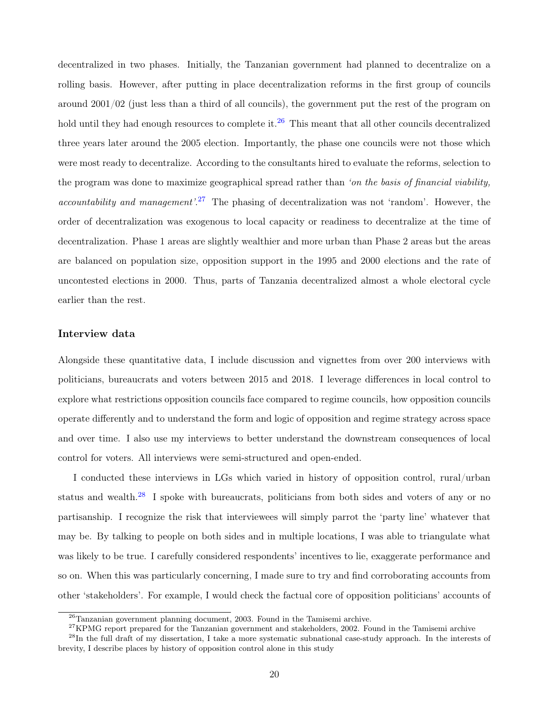decentralized in two phases. Initially, the Tanzanian government had planned to decentralize on a rolling basis. However, after putting in place decentralization reforms in the first group of councils around 2001/02 (just less than a third of all councils), the government put the rest of the program on hold until they had enough resources to complete it.<sup>[26](#page-19-0)</sup> This meant that all other councils decentralized three years later around the 2005 election. Importantly, the phase one councils were not those which were most ready to decentralize. According to the consultants hired to evaluate the reforms, selection to the program was done to maximize geographical spread rather than 'on the basis of financial viability, *accountability and management*'.<sup>[27](#page-19-1)</sup> The phasing of decentralization was not 'random'. However, the order of decentralization was exogenous to local capacity or readiness to decentralize at the time of decentralization. Phase 1 areas are slightly wealthier and more urban than Phase 2 areas but the areas are balanced on population size, opposition support in the 1995 and 2000 elections and the rate of uncontested elections in 2000. Thus, parts of Tanzania decentralized almost a whole electoral cycle earlier than the rest.

#### Interview data

Alongside these quantitative data, I include discussion and vignettes from over 200 interviews with politicians, bureaucrats and voters between 2015 and 2018. I leverage differences in local control to explore what restrictions opposition councils face compared to regime councils, how opposition councils operate differently and to understand the form and logic of opposition and regime strategy across space and over time. I also use my interviews to better understand the downstream consequences of local control for voters. All interviews were semi-structured and open-ended.

I conducted these interviews in LGs which varied in history of opposition control, rural/urban status and wealth. $^{28}$  $^{28}$  $^{28}$  I spoke with bureaucrats, politicians from both sides and voters of any or no partisanship. I recognize the risk that interviewees will simply parrot the 'party line' whatever that may be. By talking to people on both sides and in multiple locations, I was able to triangulate what was likely to be true. I carefully considered respondents' incentives to lie, exaggerate performance and so on. When this was particularly concerning, I made sure to try and find corroborating accounts from other 'stakeholders'. For example, I would check the factual core of opposition politicians' accounts of

<span id="page-19-1"></span><span id="page-19-0"></span><sup>26</sup>Tanzanian government planning document, 2003. Found in the Tamisemi archive.

<span id="page-19-2"></span><sup>&</sup>lt;sup>27</sup>KPMG report prepared for the Tanzanian government and stakeholders, 2002. Found in the Tamisemi archive

 $^{28}$ In the full draft of my dissertation, I take a more systematic subnational case-study approach. In the interests of brevity, I describe places by history of opposition control alone in this study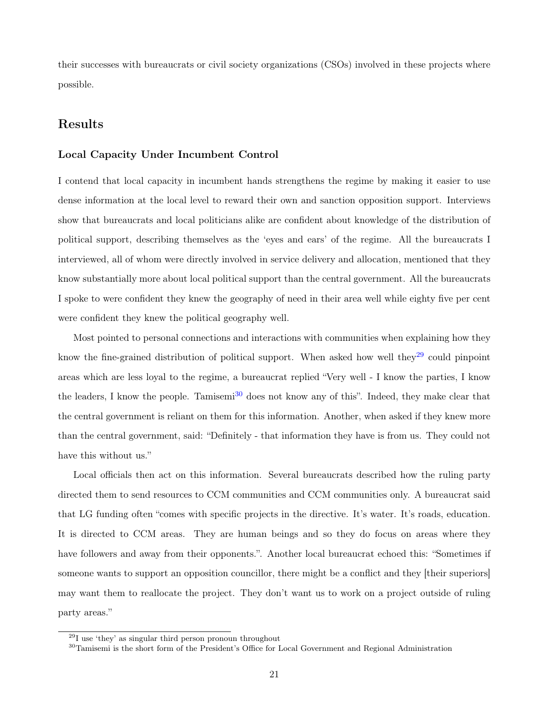their successes with bureaucrats or civil society organizations (CSOs) involved in these projects where possible.

## Results

#### Local Capacity Under Incumbent Control

I contend that local capacity in incumbent hands strengthens the regime by making it easier to use dense information at the local level to reward their own and sanction opposition support. Interviews show that bureaucrats and local politicians alike are confident about knowledge of the distribution of political support, describing themselves as the 'eyes and ears' of the regime. All the bureaucrats I interviewed, all of whom were directly involved in service delivery and allocation, mentioned that they know substantially more about local political support than the central government. All the bureaucrats I spoke to were confident they knew the geography of need in their area well while eighty five per cent were confident they knew the political geography well.

Most pointed to personal connections and interactions with communities when explaining how they know the fine-grained distribution of political support. When asked how well they<sup>[29](#page-20-0)</sup> could pinpoint areas which are less loyal to the regime, a bureaucrat replied "Very well - I know the parties, I know the leaders, I know the people. Tamisemi<sup>[30](#page-20-1)</sup> does not know any of this". Indeed, they make clear that the central government is reliant on them for this information. Another, when asked if they knew more than the central government, said: "Definitely - that information they have is from us. They could not have this without us."

Local officials then act on this information. Several bureaucrats described how the ruling party directed them to send resources to CCM communities and CCM communities only. A bureaucrat said that LG funding often "comes with specific projects in the directive. It's water. It's roads, education. It is directed to CCM areas. They are human beings and so they do focus on areas where they have followers and away from their opponents.". Another local bureaucrat echoed this: "Sometimes if someone wants to support an opposition councillor, there might be a conflict and they [their superiors] may want them to reallocate the project. They don't want us to work on a project outside of ruling party areas."

<span id="page-20-0"></span> $^{29}$ I use 'they' as singular third person pronoun throughout

<span id="page-20-1"></span><sup>&</sup>lt;sup>30</sup>Tamisemi is the short form of the President's Office for Local Government and Regional Administration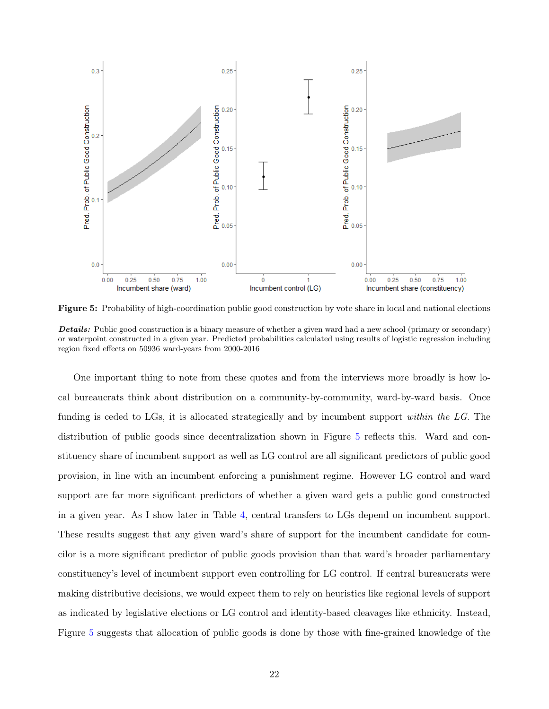<span id="page-21-0"></span>

Figure 5: Probability of high-coordination public good construction by vote share in local and national elections Details: Public good construction is a binary measure of whether a given ward had a new school (primary or secondary) or waterpoint constructed in a given year. Predicted probabilities calculated using results of logistic regression including region fixed effects on 50936 ward-years from 2000-2016

One important thing to note from these quotes and from the interviews more broadly is how local bureaucrats think about distribution on a community-by-community, ward-by-ward basis. Once funding is ceded to LGs, it is allocated strategically and by incumbent support within the LG. The distribution of public goods since decentralization shown in Figure [5](#page-21-0) reflects this. Ward and constituency share of incumbent support as well as LG control are all significant predictors of public good provision, in line with an incumbent enforcing a punishment regime. However LG control and ward support are far more significant predictors of whether a given ward gets a public good constructed in a given year. As I show later in Table [4,](#page-27-0) central transfers to LGs depend on incumbent support. These results suggest that any given ward's share of support for the incumbent candidate for councilor is a more significant predictor of public goods provision than that ward's broader parliamentary constituency's level of incumbent support even controlling for LG control. If central bureaucrats were making distributive decisions, we would expect them to rely on heuristics like regional levels of support as indicated by legislative elections or LG control and identity-based cleavages like ethnicity. Instead, Figure [5](#page-21-0) suggests that allocation of public goods is done by those with fine-grained knowledge of the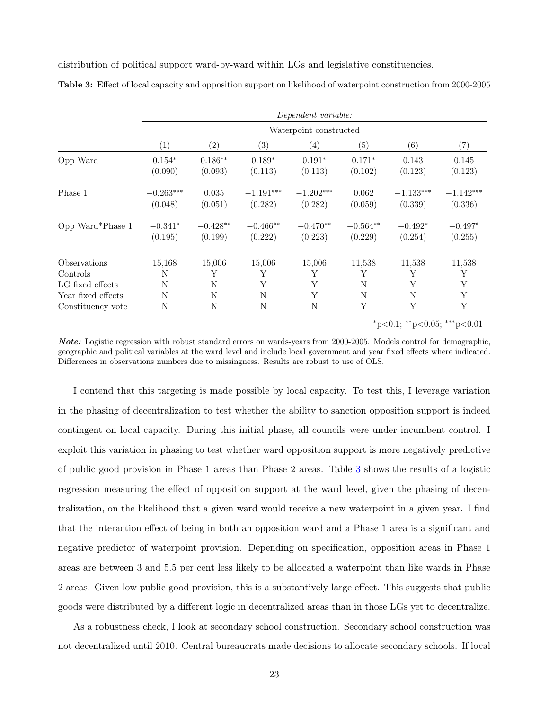distribution of political support ward-by-ward within LGs and legislative constituencies.

|                    |                        | Dependent variable:   |                        |                        |                       |                        |                        |  |  |  |
|--------------------|------------------------|-----------------------|------------------------|------------------------|-----------------------|------------------------|------------------------|--|--|--|
|                    | Waterpoint constructed |                       |                        |                        |                       |                        |                        |  |  |  |
|                    | (1)                    | $\left( 2\right)$     | (3)                    | $\left( 4\right)$      | (5)                   | (6)                    | $\left( 7\right)$      |  |  |  |
| Opp Ward           | $0.154*$<br>(0.090)    | $0.186**$<br>(0.093)  | $0.189*$<br>(0.113)    | $0.191*$<br>(0.113)    | $0.171*$<br>(0.102)   | 0.143<br>(0.123)       | 0.145<br>(0.123)       |  |  |  |
| Phase 1            | $-0.263***$<br>(0.048) | 0.035<br>(0.051)      | $-1.191***$<br>(0.282) | $-1.202***$<br>(0.282) | 0.062<br>(0.059)      | $-1.133***$<br>(0.339) | $-1.142***$<br>(0.336) |  |  |  |
| Opp Ward*Phase 1   | $-0.341*$<br>(0.195)   | $-0.428**$<br>(0.199) | $-0.466**$<br>(0.222)  | $-0.470**$<br>(0.223)  | $-0.564**$<br>(0.229) | $-0.492*$<br>(0.254)   | $-0.497*$<br>(0.255)   |  |  |  |
| Observations       | 15,168                 | 15,006                | 15,006                 | 15,006                 | 11,538                | 11,538                 | 11,538                 |  |  |  |
| Controls           | N                      | Υ                     | Υ                      | Υ                      | Υ                     | Υ                      | Υ                      |  |  |  |
| LG fixed effects   | N                      | N                     | Y                      | Y                      | N                     | Y                      | Y                      |  |  |  |
| Year fixed effects | N                      | N                     | N                      | Y                      | N                     | N                      | Y                      |  |  |  |
| Constituency vote  | N                      | N                     | $\mathbf N$            | N                      | Y                     | Υ                      | Y                      |  |  |  |

<span id="page-22-0"></span>Table 3: Effect of local capacity and opposition support on likelihood of waterpoint construction from 2000-2005

<sup>∗</sup>p<0.1; ∗∗p<0.05; ∗∗∗p<0.01

Note: Logistic regression with robust standard errors on wards-years from 2000-2005. Models control for demographic, geographic and political variables at the ward level and include local government and year fixed effects where indicated. Differences in observations numbers due to missingness. Results are robust to use of OLS.

I contend that this targeting is made possible by local capacity. To test this, I leverage variation in the phasing of decentralization to test whether the ability to sanction opposition support is indeed contingent on local capacity. During this initial phase, all councils were under incumbent control. I exploit this variation in phasing to test whether ward opposition support is more negatively predictive of public good provision in Phase 1 areas than Phase 2 areas. Table [3](#page-22-0) shows the results of a logistic regression measuring the effect of opposition support at the ward level, given the phasing of decentralization, on the likelihood that a given ward would receive a new waterpoint in a given year. I find that the interaction effect of being in both an opposition ward and a Phase 1 area is a significant and negative predictor of waterpoint provision. Depending on specification, opposition areas in Phase 1 areas are between 3 and 5.5 per cent less likely to be allocated a waterpoint than like wards in Phase 2 areas. Given low public good provision, this is a substantively large effect. This suggests that public goods were distributed by a different logic in decentralized areas than in those LGs yet to decentralize.

As a robustness check, I look at secondary school construction. Secondary school construction was not decentralized until 2010. Central bureaucrats made decisions to allocate secondary schools. If local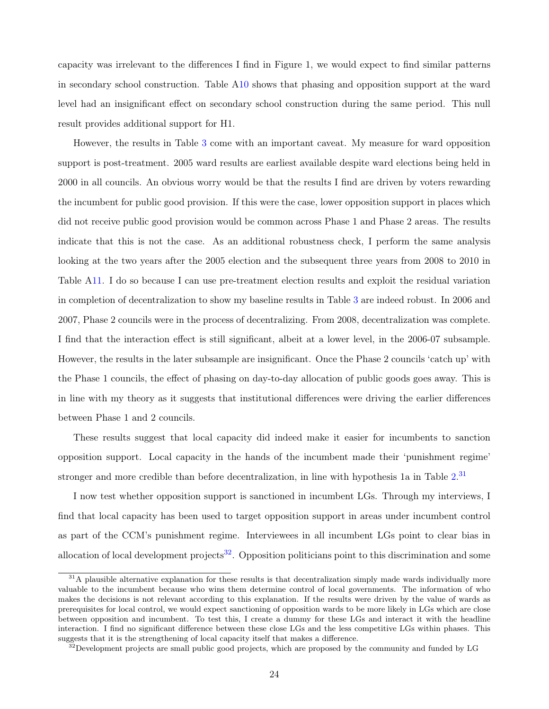capacity was irrelevant to the differences I find in Figure 1, we would expect to find similar patterns in secondary school construction. Table [A10](#page-48-0) shows that phasing and opposition support at the ward level had an insignificant effect on secondary school construction during the same period. This null result provides additional support for H1.

However, the results in Table [3](#page-22-0) come with an important caveat. My measure for ward opposition support is post-treatment. 2005 ward results are earliest available despite ward elections being held in 2000 in all councils. An obvious worry would be that the results I find are driven by voters rewarding the incumbent for public good provision. If this were the case, lower opposition support in places which did not receive public good provision would be common across Phase 1 and Phase 2 areas. The results indicate that this is not the case. As an additional robustness check, I perform the same analysis looking at the two years after the 2005 election and the subsequent three years from 2008 to 2010 in Table [A11.](#page-51-0) I do so because I can use pre-treatment election results and exploit the residual variation in completion of decentralization to show my baseline results in Table [3](#page-22-0) are indeed robust. In 2006 and 2007, Phase 2 councils were in the process of decentralizing. From 2008, decentralization was complete. I find that the interaction effect is still significant, albeit at a lower level, in the 2006-07 subsample. However, the results in the later subsample are insignificant. Once the Phase 2 councils 'catch up' with the Phase 1 councils, the effect of phasing on day-to-day allocation of public goods goes away. This is in line with my theory as it suggests that institutional differences were driving the earlier differences between Phase 1 and 2 councils.

These results suggest that local capacity did indeed make it easier for incumbents to sanction opposition support. Local capacity in the hands of the incumbent made their 'punishment regime' stronger and more credible than before decentralization, in line with hypothesis 1a in Table [2.](#page-12-0)<sup>[31](#page-23-0)</sup>

I now test whether opposition support is sanctioned in incumbent LGs. Through my interviews, I find that local capacity has been used to target opposition support in areas under incumbent control as part of the CCM's punishment regime. Interviewees in all incumbent LGs point to clear bias in allocation of local development projects<sup>[32](#page-23-1)</sup>. Opposition politicians point to this discrimination and some

<span id="page-23-0"></span> $31A$  plausible alternative explanation for these results is that decentralization simply made wards individually more valuable to the incumbent because who wins them determine control of local governments. The information of who makes the decisions is not relevant according to this explanation. If the results were driven by the value of wards as prerequisites for local control, we would expect sanctioning of opposition wards to be more likely in LGs which are close between opposition and incumbent. To test this, I create a dummy for these LGs and interact it with the headline interaction. I find no significant difference between these close LGs and the less competitive LGs within phases. This suggests that it is the strengthening of local capacity itself that makes a difference.

<span id="page-23-1"></span><sup>&</sup>lt;sup>32</sup>Development projects are small public good projects, which are proposed by the community and funded by LG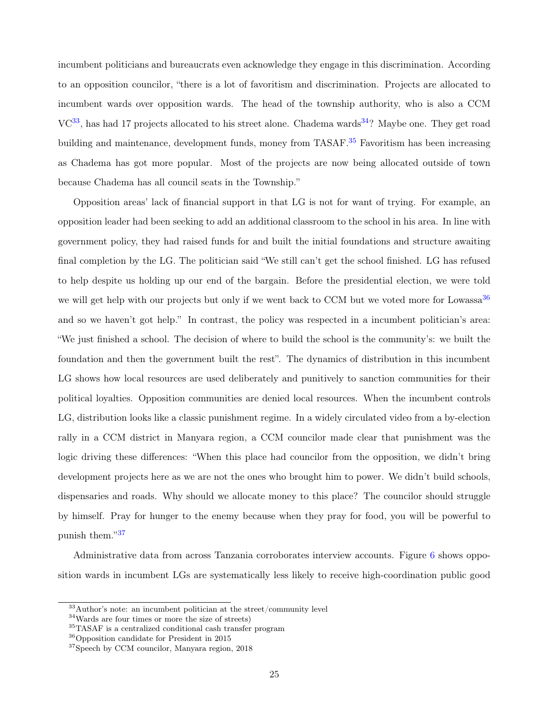incumbent politicians and bureaucrats even acknowledge they engage in this discrimination. According to an opposition councilor, "there is a lot of favoritism and discrimination. Projects are allocated to incumbent wards over opposition wards. The head of the township authority, who is also a CCM  $VC^{33}$  $VC^{33}$  $VC^{33}$ , has had 17 projects allocated to his street alone. Chadema wards<sup>[34](#page-24-1)</sup>? Maybe one. They get road building and maintenance, development funds, money from TASAF.<sup>[35](#page-24-2)</sup> Favoritism has been increasing as Chadema has got more popular. Most of the projects are now being allocated outside of town because Chadema has all council seats in the Township."

Opposition areas' lack of financial support in that LG is not for want of trying. For example, an opposition leader had been seeking to add an additional classroom to the school in his area. In line with government policy, they had raised funds for and built the initial foundations and structure awaiting final completion by the LG. The politician said "We still can't get the school finished. LG has refused to help despite us holding up our end of the bargain. Before the presidential election, we were told we will get help with our projects but only if we went back to CCM but we voted more for Lowassa  $36$ and so we haven't got help." In contrast, the policy was respected in a incumbent politician's area: "We just finished a school. The decision of where to build the school is the community's: we built the foundation and then the government built the rest". The dynamics of distribution in this incumbent LG shows how local resources are used deliberately and punitively to sanction communities for their political loyalties. Opposition communities are denied local resources. When the incumbent controls LG, distribution looks like a classic punishment regime. In a widely circulated video from a by-election rally in a CCM district in Manyara region, a CCM councilor made clear that punishment was the logic driving these differences: "When this place had councilor from the opposition, we didn't bring development projects here as we are not the ones who brought him to power. We didn't build schools, dispensaries and roads. Why should we allocate money to this place? The councilor should struggle by himself. Pray for hunger to the enemy because when they pray for food, you will be powerful to punish them."[37](#page-24-4)

Administrative data from across Tanzania corroborates interview accounts. Figure [6](#page-25-0) shows opposition wards in incumbent LGs are systematically less likely to receive high-coordination public good

<span id="page-24-1"></span> $34$ Wards are four times or more the size of streets)

<span id="page-24-0"></span><sup>33</sup>Author's note: an incumbent politician at the street/community level

<span id="page-24-2"></span><sup>35</sup>TASAF is a centralized conditional cash transfer program

<span id="page-24-3"></span><sup>36</sup>Opposition candidate for President in 2015

<span id="page-24-4"></span><sup>37</sup>Speech by CCM councilor, Manyara region, 2018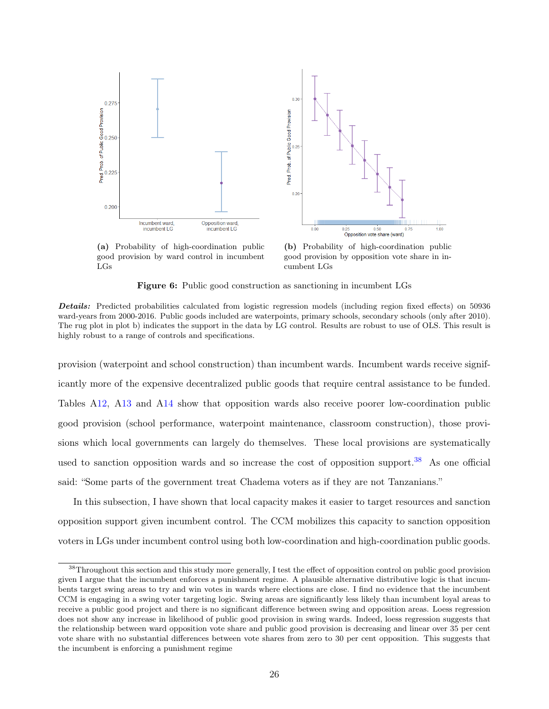<span id="page-25-0"></span>

(a) Probability of high-coordination public good provision by ward control in incumbent LGs

(b) Probability of high-coordination public good provision by opposition vote share in incumbent LGs

Figure 6: Public good construction as sanctioning in incumbent LGs

provision (waterpoint and school construction) than incumbent wards. Incumbent wards receive significantly more of the expensive decentralized public goods that require central assistance to be funded. Tables [A12,](#page-51-1) [A13](#page-52-0) and [A14](#page-52-1) show that opposition wards also receive poorer low-coordination public good provision (school performance, waterpoint maintenance, classroom construction), those provisions which local governments can largely do themselves. These local provisions are systematically used to sanction opposition wards and so increase the cost of opposition support.<sup>[38](#page-25-1)</sup> As one official said: "Some parts of the government treat Chadema voters as if they are not Tanzanians."

In this subsection, I have shown that local capacity makes it easier to target resources and sanction opposition support given incumbent control. The CCM mobilizes this capacity to sanction opposition voters in LGs under incumbent control using both low-coordination and high-coordination public goods.

Details: Predicted probabilities calculated from logistic regression models (including region fixed effects) on 50936 ward-years from 2000-2016. Public goods included are waterpoints, primary schools, secondary schools (only after 2010). The rug plot in plot b) indicates the support in the data by LG control. Results are robust to use of OLS. This result is highly robust to a range of controls and specifications.

<span id="page-25-1"></span><sup>&</sup>lt;sup>38</sup>Throughout this section and this study more generally, I test the effect of opposition control on public good provision given I argue that the incumbent enforces a punishment regime. A plausible alternative distributive logic is that incumbents target swing areas to try and win votes in wards where elections are close. I find no evidence that the incumbent CCM is engaging in a swing voter targeting logic. Swing areas are significantly less likely than incumbent loyal areas to receive a public good project and there is no significant difference between swing and opposition areas. Loess regression does not show any increase in likelihood of public good provision in swing wards. Indeed, loess regression suggests that the relationship between ward opposition vote share and public good provision is decreasing and linear over 35 per cent vote share with no substantial differences between vote shares from zero to 30 per cent opposition. This suggests that the incumbent is enforcing a punishment regime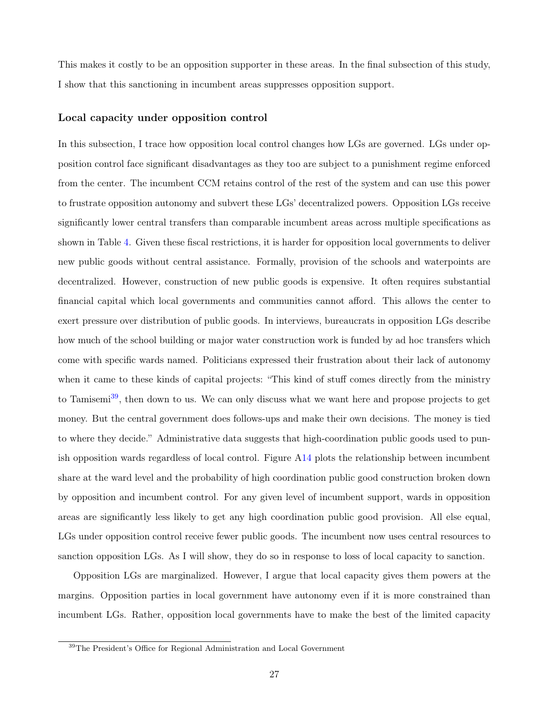This makes it costly to be an opposition supporter in these areas. In the final subsection of this study, I show that this sanctioning in incumbent areas suppresses opposition support.

#### Local capacity under opposition control

In this subsection, I trace how opposition local control changes how LGs are governed. LGs under opposition control face significant disadvantages as they too are subject to a punishment regime enforced from the center. The incumbent CCM retains control of the rest of the system and can use this power to frustrate opposition autonomy and subvert these LGs' decentralized powers. Opposition LGs receive significantly lower central transfers than comparable incumbent areas across multiple specifications as shown in Table [4.](#page-27-0) Given these fiscal restrictions, it is harder for opposition local governments to deliver new public goods without central assistance. Formally, provision of the schools and waterpoints are decentralized. However, construction of new public goods is expensive. It often requires substantial financial capital which local governments and communities cannot afford. This allows the center to exert pressure over distribution of public goods. In interviews, bureaucrats in opposition LGs describe how much of the school building or major water construction work is funded by ad hoc transfers which come with specific wards named. Politicians expressed their frustration about their lack of autonomy when it came to these kinds of capital projects: "This kind of stuff comes directly from the ministry to Tamisemi<sup>[39](#page-26-0)</sup>, then down to us. We can only discuss what we want here and propose projects to get money. But the central government does follows-ups and make their own decisions. The money is tied to where they decide." Administrative data suggests that high-coordination public goods used to punish opposition wards regardless of local control. Figure [A14](#page-54-0) plots the relationship between incumbent share at the ward level and the probability of high coordination public good construction broken down by opposition and incumbent control. For any given level of incumbent support, wards in opposition areas are significantly less likely to get any high coordination public good provision. All else equal, LGs under opposition control receive fewer public goods. The incumbent now uses central resources to sanction opposition LGs. As I will show, they do so in response to loss of local capacity to sanction.

Opposition LGs are marginalized. However, I argue that local capacity gives them powers at the margins. Opposition parties in local government have autonomy even if it is more constrained than incumbent LGs. Rather, opposition local governments have to make the best of the limited capacity

<span id="page-26-0"></span><sup>&</sup>lt;sup>39</sup>The President's Office for Regional Administration and Local Government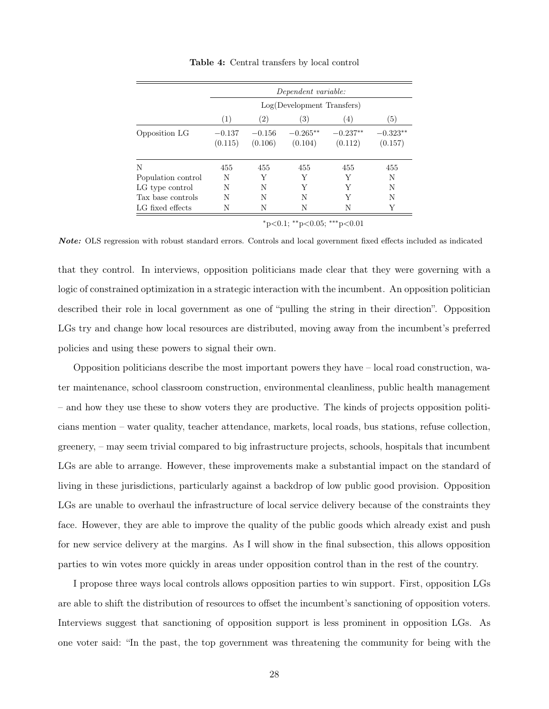<span id="page-27-0"></span>

|                    |                     |                     | Dependent variable:        |                       |                       |
|--------------------|---------------------|---------------------|----------------------------|-----------------------|-----------------------|
|                    |                     |                     | Log(Development Transfers) |                       |                       |
|                    | (1)                 | (2)                 | (3)                        | $\left(4\right)$      | (5)                   |
| Opposition LG      | $-0.137$<br>(0.115) | $-0.156$<br>(0.106) | $-0.265**$<br>(0.104)      | $-0.237**$<br>(0.112) | $-0.323**$<br>(0.157) |
| N                  | 455                 | 455                 | 455                        | 455                   | 455                   |
| Population control | N                   | Y                   | Y                          | Y                     | N                     |
| LG type control    | N                   | N                   | Y                          | Y                     | N                     |
| Tax base controls  | N                   | N                   | N                          | Y                     | N                     |
| LG fixed effects   | N                   | N                   | N                          | N                     |                       |

Table 4: Central transfers by local control

 $*_{p<0.1;}$  \*\*p<0.05; \*\*\*p<0.01

Note: OLS regression with robust standard errors. Controls and local government fixed effects included as indicated

that they control. In interviews, opposition politicians made clear that they were governing with a logic of constrained optimization in a strategic interaction with the incumbent. An opposition politician described their role in local government as one of "pulling the string in their direction". Opposition LGs try and change how local resources are distributed, moving away from the incumbent's preferred policies and using these powers to signal their own.

Opposition politicians describe the most important powers they have – local road construction, water maintenance, school classroom construction, environmental cleanliness, public health management – and how they use these to show voters they are productive. The kinds of projects opposition politicians mention – water quality, teacher attendance, markets, local roads, bus stations, refuse collection, greenery, – may seem trivial compared to big infrastructure projects, schools, hospitals that incumbent LGs are able to arrange. However, these improvements make a substantial impact on the standard of living in these jurisdictions, particularly against a backdrop of low public good provision. Opposition LGs are unable to overhaul the infrastructure of local service delivery because of the constraints they face. However, they are able to improve the quality of the public goods which already exist and push for new service delivery at the margins. As I will show in the final subsection, this allows opposition parties to win votes more quickly in areas under opposition control than in the rest of the country.

I propose three ways local controls allows opposition parties to win support. First, opposition LGs are able to shift the distribution of resources to offset the incumbent's sanctioning of opposition voters. Interviews suggest that sanctioning of opposition support is less prominent in opposition LGs. As one voter said: "In the past, the top government was threatening the community for being with the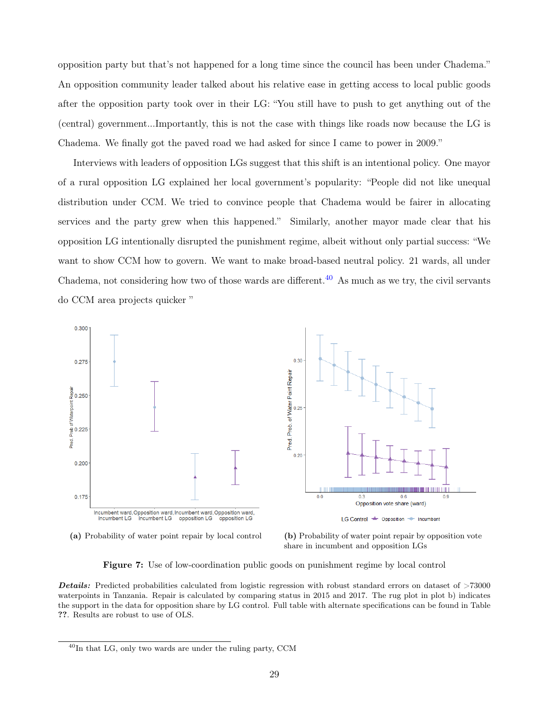opposition party but that's not happened for a long time since the council has been under Chadema." An opposition community leader talked about his relative ease in getting access to local public goods after the opposition party took over in their LG: "You still have to push to get anything out of the (central) government...Importantly, this is not the case with things like roads now because the LG is Chadema. We finally got the paved road we had asked for since I came to power in 2009."

Interviews with leaders of opposition LGs suggest that this shift is an intentional policy. One mayor of a rural opposition LG explained her local government's popularity: "People did not like unequal distribution under CCM. We tried to convince people that Chadema would be fairer in allocating services and the party grew when this happened." Similarly, another mayor made clear that his opposition LG intentionally disrupted the punishment regime, albeit without only partial success: "We want to show CCM how to govern. We want to make broad-based neutral policy. 21 wards, all under Chadema, not considering how two of those wards are different.<sup>[40](#page-28-0)</sup> As much as we try, the civil servants do CCM area projects quicker "

<span id="page-28-1"></span>

(a) Probability of water point repair by local control (b) Probability of water point repair by opposition vote

share in incumbent and opposition LGs

Figure 7: Use of low-coordination public goods on punishment regime by local control

**Details:** Predicted probabilities calculated from logistic regression with robust standard errors on dataset of  $>73000$ waterpoints in Tanzania. Repair is calculated by comparing status in 2015 and 2017. The rug plot in plot b) indicates the support in the data for opposition share by LG control. Full table with alternate specifications can be found in Table ??. Results are robust to use of OLS.

<span id="page-28-0"></span> $^{40}$ In that LG, only two wards are under the ruling party, CCM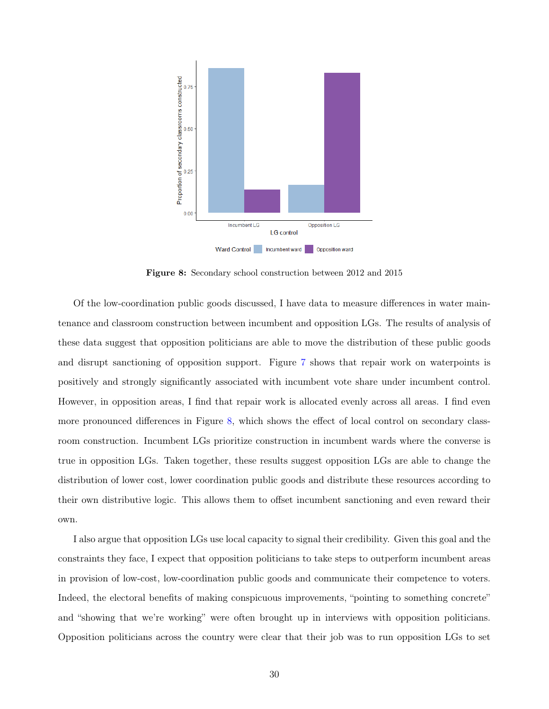<span id="page-29-0"></span>

Figure 8: Secondary school construction between 2012 and 2015

Of the low-coordination public goods discussed, I have data to measure differences in water maintenance and classroom construction between incumbent and opposition LGs. The results of analysis of these data suggest that opposition politicians are able to move the distribution of these public goods and disrupt sanctioning of opposition support. Figure [7](#page-28-1) shows that repair work on waterpoints is positively and strongly significantly associated with incumbent vote share under incumbent control. However, in opposition areas, I find that repair work is allocated evenly across all areas. I find even more pronounced differences in Figure [8,](#page-29-0) which shows the effect of local control on secondary classroom construction. Incumbent LGs prioritize construction in incumbent wards where the converse is true in opposition LGs. Taken together, these results suggest opposition LGs are able to change the distribution of lower cost, lower coordination public goods and distribute these resources according to their own distributive logic. This allows them to offset incumbent sanctioning and even reward their own.

I also argue that opposition LGs use local capacity to signal their credibility. Given this goal and the constraints they face, I expect that opposition politicians to take steps to outperform incumbent areas in provision of low-cost, low-coordination public goods and communicate their competence to voters. Indeed, the electoral benefits of making conspicuous improvements, "pointing to something concrete" and "showing that we're working" were often brought up in interviews with opposition politicians. Opposition politicians across the country were clear that their job was to run opposition LGs to set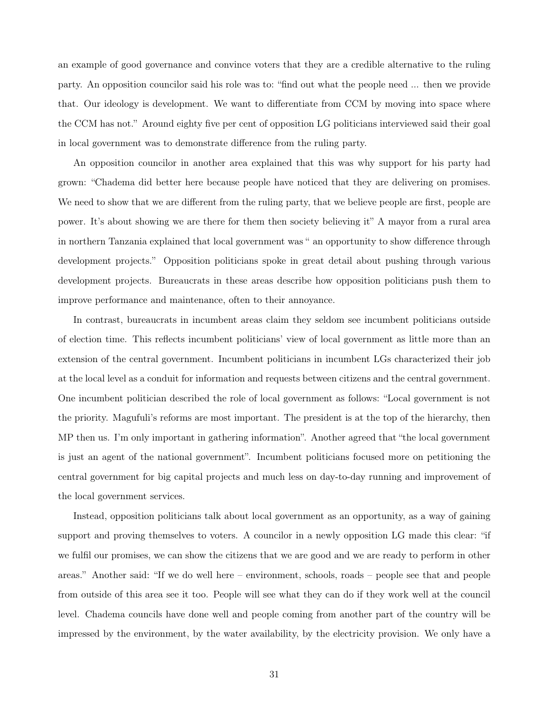an example of good governance and convince voters that they are a credible alternative to the ruling party. An opposition councilor said his role was to: "find out what the people need ... then we provide that. Our ideology is development. We want to differentiate from CCM by moving into space where the CCM has not." Around eighty five per cent of opposition LG politicians interviewed said their goal in local government was to demonstrate difference from the ruling party.

An opposition councilor in another area explained that this was why support for his party had grown: "Chadema did better here because people have noticed that they are delivering on promises. We need to show that we are different from the ruling party, that we believe people are first, people are power. It's about showing we are there for them then society believing it" A mayor from a rural area in northern Tanzania explained that local government was " an opportunity to show difference through development projects." Opposition politicians spoke in great detail about pushing through various development projects. Bureaucrats in these areas describe how opposition politicians push them to improve performance and maintenance, often to their annoyance.

In contrast, bureaucrats in incumbent areas claim they seldom see incumbent politicians outside of election time. This reflects incumbent politicians' view of local government as little more than an extension of the central government. Incumbent politicians in incumbent LGs characterized their job at the local level as a conduit for information and requests between citizens and the central government. One incumbent politician described the role of local government as follows: "Local government is not the priority. Magufuli's reforms are most important. The president is at the top of the hierarchy, then MP then us. I'm only important in gathering information". Another agreed that "the local government is just an agent of the national government". Incumbent politicians focused more on petitioning the central government for big capital projects and much less on day-to-day running and improvement of the local government services.

Instead, opposition politicians talk about local government as an opportunity, as a way of gaining support and proving themselves to voters. A councilor in a newly opposition LG made this clear: "if we fulfil our promises, we can show the citizens that we are good and we are ready to perform in other areas." Another said: "If we do well here – environment, schools, roads – people see that and people from outside of this area see it too. People will see what they can do if they work well at the council level. Chadema councils have done well and people coming from another part of the country will be impressed by the environment, by the water availability, by the electricity provision. We only have a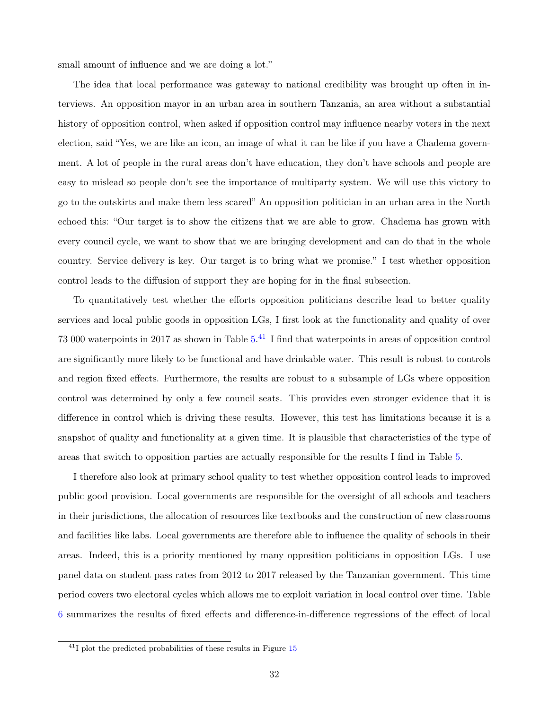small amount of influence and we are doing a lot."

The idea that local performance was gateway to national credibility was brought up often in interviews. An opposition mayor in an urban area in southern Tanzania, an area without a substantial history of opposition control, when asked if opposition control may influence nearby voters in the next election, said "Yes, we are like an icon, an image of what it can be like if you have a Chadema government. A lot of people in the rural areas don't have education, they don't have schools and people are easy to mislead so people don't see the importance of multiparty system. We will use this victory to go to the outskirts and make them less scared" An opposition politician in an urban area in the North echoed this: "Our target is to show the citizens that we are able to grow. Chadema has grown with every council cycle, we want to show that we are bringing development and can do that in the whole country. Service delivery is key. Our target is to bring what we promise." I test whether opposition control leads to the diffusion of support they are hoping for in the final subsection.

To quantitatively test whether the efforts opposition politicians describe lead to better quality services and local public goods in opposition LGs, I first look at the functionality and quality of over 73 000 waterpoints in 2017 as shown in Table [5.](#page-32-0) [41](#page-31-0) I find that waterpoints in areas of opposition control are significantly more likely to be functional and have drinkable water. This result is robust to controls and region fixed effects. Furthermore, the results are robust to a subsample of LGs where opposition control was determined by only a few council seats. This provides even stronger evidence that it is difference in control which is driving these results. However, this test has limitations because it is a snapshot of quality and functionality at a given time. It is plausible that characteristics of the type of areas that switch to opposition parties are actually responsible for the results I find in Table [5.](#page-32-0)

I therefore also look at primary school quality to test whether opposition control leads to improved public good provision. Local governments are responsible for the oversight of all schools and teachers in their jurisdictions, the allocation of resources like textbooks and the construction of new classrooms and facilities like labs. Local governments are therefore able to influence the quality of schools in their areas. Indeed, this is a priority mentioned by many opposition politicians in opposition LGs. I use panel data on student pass rates from 2012 to 2017 released by the Tanzanian government. This time period covers two electoral cycles which allows me to exploit variation in local control over time. Table [6](#page-32-1) summarizes the results of fixed effects and difference-in-difference regressions of the effect of local

<span id="page-31-0"></span> $^{41}$ I plot the predicted probabilities of these results in Figure [15](#page-54-1)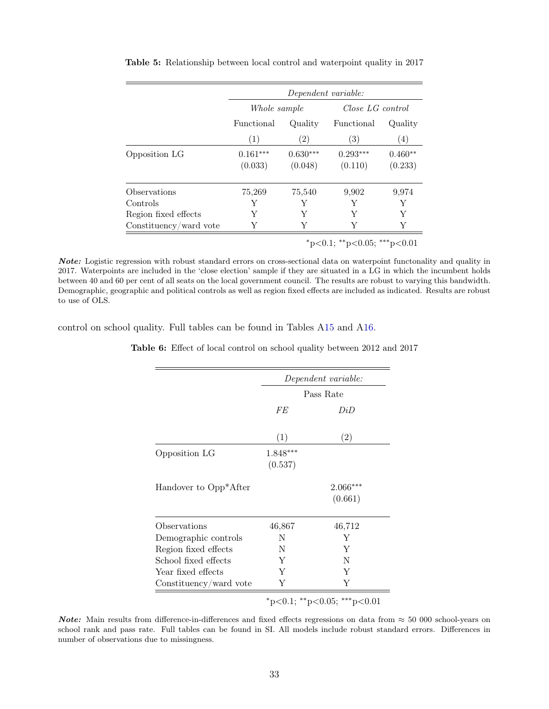|                        |                       | Dependent variable:   |                       |                      |
|------------------------|-----------------------|-----------------------|-----------------------|----------------------|
|                        | Whole sample          |                       | Close LG control      |                      |
|                        | Functional            | Quality               | Functional            | Quality              |
|                        | (1)                   | (2)                   | (3)                   | $\left( 4\right)$    |
| Opposition LG          | $0.161***$<br>(0.033) | $0.630***$<br>(0.048) | $0.293***$<br>(0.110) | $0.460**$<br>(0.233) |
| Observations           | 75,269                | 75,540                | 9,902                 | 9,974                |
| $\rm{Controls}$        | Y                     | Y                     | Y                     | Υ                    |
| Region fixed effects   | Y                     | Y                     | Y                     | Y                    |
| Constituency/ward vote | Y                     |                       | Y                     | Y                    |
|                        |                       |                       |                       |                      |

<span id="page-32-0"></span>Table 5: Relationship between local control and waterpoint quality in 2017

 $*p<0.1$ ;  $*p<0.05$ ;  $**p<0.01$ 

Note: Logistic regression with robust standard errors on cross-sectional data on waterpoint functonality and quality in 2017. Waterpoints are included in the 'close election' sample if they are situated in a LG in which the incumbent holds between 40 and 60 per cent of all seats on the local government council. The results are robust to varying this bandwidth. Demographic, geographic and political controls as well as region fixed effects are included as indicated. Results are robust to use of OLS.

<span id="page-32-1"></span>control on school quality. Full tables can be found in Tables [A15](#page-53-0) and [A16.](#page-53-1)

| Table 6: Effect of local control on school quality between 2012 and 2017 |  |
|--------------------------------------------------------------------------|--|
|--------------------------------------------------------------------------|--|

|                                    | Dependent variable:<br>Pass Rate<br>FE<br>DiD<br>(1)<br>(2)<br>1.848***<br>(0.537)<br>$2.066***$<br>(0.661)<br>46,712<br>46,867<br>Y<br>N<br>Y<br>N<br>Y<br>N<br>Y<br>Y |                             |
|------------------------------------|-------------------------------------------------------------------------------------------------------------------------------------------------------------------------|-----------------------------|
|                                    |                                                                                                                                                                         |                             |
|                                    |                                                                                                                                                                         |                             |
| Opposition LG                      |                                                                                                                                                                         |                             |
| Handover to Opp <sup>*</sup> After |                                                                                                                                                                         |                             |
| Observations                       |                                                                                                                                                                         |                             |
| Demographic controls               |                                                                                                                                                                         |                             |
| Region fixed effects               |                                                                                                                                                                         |                             |
| School fixed effects               |                                                                                                                                                                         |                             |
| Year fixed effects                 |                                                                                                                                                                         |                             |
| Constituency/ward vote             | Υ                                                                                                                                                                       | Y                           |
|                                    |                                                                                                                                                                         | *p<0.1; **p<0.05; ***p<0.01 |

Note: Main results from difference-in-differences and fixed effects regressions on data from  $\approx 50000$  school-years on school rank and pass rate. Full tables can be found in SI. All models include robust standard errors. Differences in number of observations due to missingness.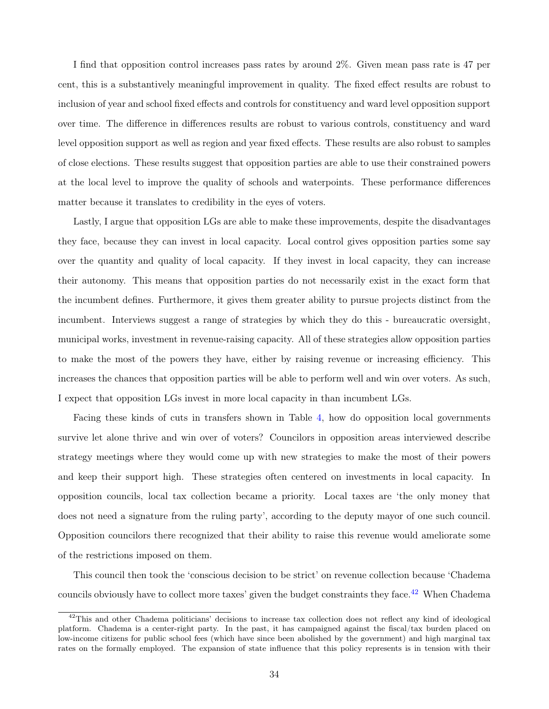I find that opposition control increases pass rates by around 2%. Given mean pass rate is 47 per cent, this is a substantively meaningful improvement in quality. The fixed effect results are robust to inclusion of year and school fixed effects and controls for constituency and ward level opposition support over time. The difference in differences results are robust to various controls, constituency and ward level opposition support as well as region and year fixed effects. These results are also robust to samples of close elections. These results suggest that opposition parties are able to use their constrained powers at the local level to improve the quality of schools and waterpoints. These performance differences matter because it translates to credibility in the eyes of voters.

Lastly, I argue that opposition LGs are able to make these improvements, despite the disadvantages they face, because they can invest in local capacity. Local control gives opposition parties some say over the quantity and quality of local capacity. If they invest in local capacity, they can increase their autonomy. This means that opposition parties do not necessarily exist in the exact form that the incumbent defines. Furthermore, it gives them greater ability to pursue projects distinct from the incumbent. Interviews suggest a range of strategies by which they do this - bureaucratic oversight, municipal works, investment in revenue-raising capacity. All of these strategies allow opposition parties to make the most of the powers they have, either by raising revenue or increasing efficiency. This increases the chances that opposition parties will be able to perform well and win over voters. As such, I expect that opposition LGs invest in more local capacity in than incumbent LGs.

Facing these kinds of cuts in transfers shown in Table [4,](#page-27-0) how do opposition local governments survive let alone thrive and win over of voters? Councilors in opposition areas interviewed describe strategy meetings where they would come up with new strategies to make the most of their powers and keep their support high. These strategies often centered on investments in local capacity. In opposition councils, local tax collection became a priority. Local taxes are 'the only money that does not need a signature from the ruling party', according to the deputy mayor of one such council. Opposition councilors there recognized that their ability to raise this revenue would ameliorate some of the restrictions imposed on them.

This council then took the 'conscious decision to be strict' on revenue collection because 'Chadema councils obviously have to collect more taxes' given the budget constraints they face.<sup>[42](#page-33-0)</sup> When Chadema

<span id="page-33-0"></span> $^{42}$ This and other Chadema politicians' decisions to increase tax collection does not reflect any kind of ideological platform. Chadema is a center-right party. In the past, it has campaigned against the fiscal/tax burden placed on low-income citizens for public school fees (which have since been abolished by the government) and high marginal tax rates on the formally employed. The expansion of state influence that this policy represents is in tension with their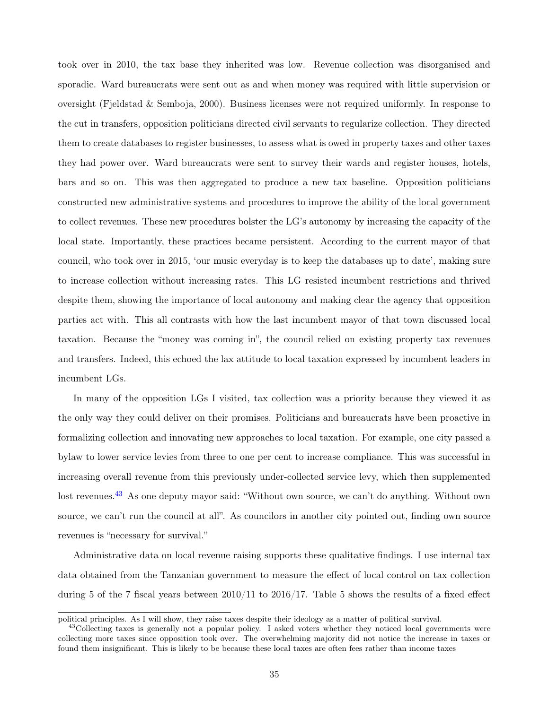took over in 2010, the tax base they inherited was low. Revenue collection was disorganised and sporadic. Ward bureaucrats were sent out as and when money was required with little supervision or oversight (Fjeldstad & Semboja, 2000). Business licenses were not required uniformly. In response to the cut in transfers, opposition politicians directed civil servants to regularize collection. They directed them to create databases to register businesses, to assess what is owed in property taxes and other taxes they had power over. Ward bureaucrats were sent to survey their wards and register houses, hotels, bars and so on. This was then aggregated to produce a new tax baseline. Opposition politicians constructed new administrative systems and procedures to improve the ability of the local government to collect revenues. These new procedures bolster the LG's autonomy by increasing the capacity of the local state. Importantly, these practices became persistent. According to the current mayor of that council, who took over in 2015, 'our music everyday is to keep the databases up to date', making sure to increase collection without increasing rates. This LG resisted incumbent restrictions and thrived despite them, showing the importance of local autonomy and making clear the agency that opposition parties act with. This all contrasts with how the last incumbent mayor of that town discussed local taxation. Because the "money was coming in", the council relied on existing property tax revenues and transfers. Indeed, this echoed the lax attitude to local taxation expressed by incumbent leaders in incumbent LGs.

In many of the opposition LGs I visited, tax collection was a priority because they viewed it as the only way they could deliver on their promises. Politicians and bureaucrats have been proactive in formalizing collection and innovating new approaches to local taxation. For example, one city passed a bylaw to lower service levies from three to one per cent to increase compliance. This was successful in increasing overall revenue from this previously under-collected service levy, which then supplemented lost revenues.<sup>[43](#page-34-0)</sup> As one deputy mayor said: "Without own source, we can't do anything. Without own source, we can't run the council at all". As councilors in another city pointed out, finding own source revenues is "necessary for survival."

Administrative data on local revenue raising supports these qualitative findings. I use internal tax data obtained from the Tanzanian government to measure the effect of local control on tax collection during 5 of the 7 fiscal years between 2010/11 to 2016/17. Table 5 shows the results of a fixed effect

political principles. As I will show, they raise taxes despite their ideology as a matter of political survival.

<span id="page-34-0"></span><sup>&</sup>lt;sup>43</sup>Collecting taxes is generally not a popular policy. I asked voters whether they noticed local governments were collecting more taxes since opposition took over. The overwhelming majority did not notice the increase in taxes or found them insignificant. This is likely to be because these local taxes are often fees rather than income taxes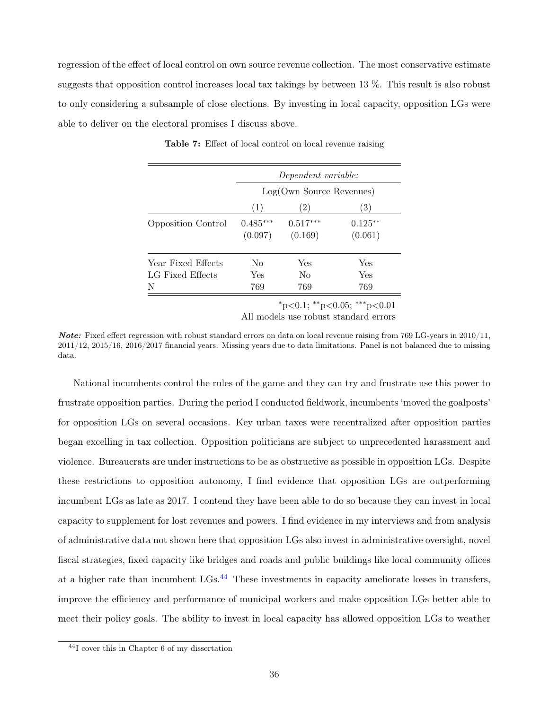regression of the effect of local control on own source revenue collection. The most conservative estimate suggests that opposition control increases local tax takings by between 13 %. This result is also robust to only considering a subsample of close elections. By investing in local capacity, opposition LGs were able to deliver on the electoral promises I discuss above.

|                           | Dependent variable:   |                          |                      |  |  |
|---------------------------|-----------------------|--------------------------|----------------------|--|--|
|                           |                       | Log( Own Source Revenue) |                      |  |  |
|                           | (1)                   | (2)                      | (3)                  |  |  |
| <b>Opposition Control</b> | $0.485***$<br>(0.097) | $0.517***$<br>(0.169)    | $0.125**$<br>(0.061) |  |  |
| Year Fixed Effects        | $\rm No$              | Yes                      | Yes                  |  |  |
| LG Fixed Effects          | Yes                   | No                       | Yes                  |  |  |
| N                         | 769                   | 769                      | 769                  |  |  |

Table 7: Effect of local control on local revenue raising

<sup>∗</sup>p<0.1; ∗∗p<0.05; ∗∗∗p<0.01

All models use robust standard errors

**Note:** Fixed effect regression with robust standard errors on data on local revenue raising from 769 LG-years in  $2010/11$ , 2011/12, 2015/16, 2016/2017 financial years. Missing years due to data limitations. Panel is not balanced due to missing data.

National incumbents control the rules of the game and they can try and frustrate use this power to frustrate opposition parties. During the period I conducted fieldwork, incumbents 'moved the goalposts' for opposition LGs on several occasions. Key urban taxes were recentralized after opposition parties began excelling in tax collection. Opposition politicians are subject to unprecedented harassment and violence. Bureaucrats are under instructions to be as obstructive as possible in opposition LGs. Despite these restrictions to opposition autonomy, I find evidence that opposition LGs are outperforming incumbent LGs as late as 2017. I contend they have been able to do so because they can invest in local capacity to supplement for lost revenues and powers. I find evidence in my interviews and from analysis of administrative data not shown here that opposition LGs also invest in administrative oversight, novel fiscal strategies, fixed capacity like bridges and roads and public buildings like local community offices at a higher rate than incumbent  $LGs$ .<sup>[44](#page-35-0)</sup> These investments in capacity ameliorate losses in transfers, improve the efficiency and performance of municipal workers and make opposition LGs better able to meet their policy goals. The ability to invest in local capacity has allowed opposition LGs to weather

<span id="page-35-0"></span><sup>44</sup>I cover this in Chapter 6 of my dissertation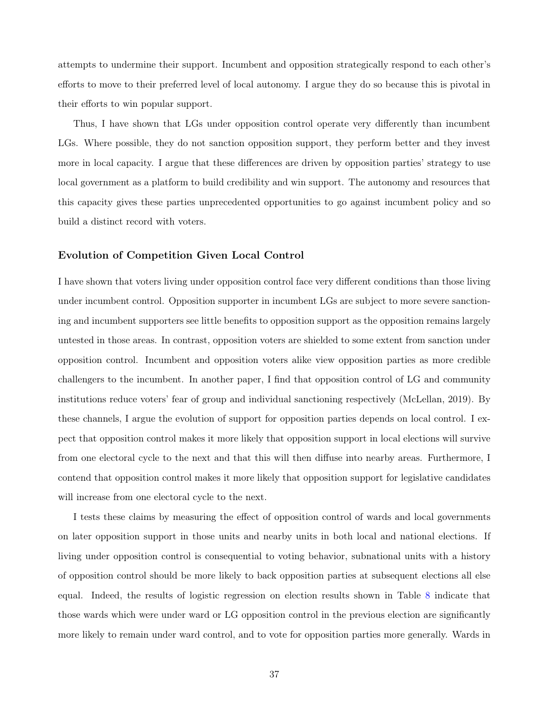attempts to undermine their support. Incumbent and opposition strategically respond to each other's efforts to move to their preferred level of local autonomy. I argue they do so because this is pivotal in their efforts to win popular support.

Thus, I have shown that LGs under opposition control operate very differently than incumbent LGs. Where possible, they do not sanction opposition support, they perform better and they invest more in local capacity. I argue that these differences are driven by opposition parties' strategy to use local government as a platform to build credibility and win support. The autonomy and resources that this capacity gives these parties unprecedented opportunities to go against incumbent policy and so build a distinct record with voters.

#### Evolution of Competition Given Local Control

I have shown that voters living under opposition control face very different conditions than those living under incumbent control. Opposition supporter in incumbent LGs are subject to more severe sanctioning and incumbent supporters see little benefits to opposition support as the opposition remains largely untested in those areas. In contrast, opposition voters are shielded to some extent from sanction under opposition control. Incumbent and opposition voters alike view opposition parties as more credible challengers to the incumbent. In another paper, I find that opposition control of LG and community institutions reduce voters' fear of group and individual sanctioning respectively (McLellan, 2019). By these channels, I argue the evolution of support for opposition parties depends on local control. I expect that opposition control makes it more likely that opposition support in local elections will survive from one electoral cycle to the next and that this will then diffuse into nearby areas. Furthermore, I contend that opposition control makes it more likely that opposition support for legislative candidates will increase from one electoral cycle to the next.

I tests these claims by measuring the effect of opposition control of wards and local governments on later opposition support in those units and nearby units in both local and national elections. If living under opposition control is consequential to voting behavior, subnational units with a history of opposition control should be more likely to back opposition parties at subsequent elections all else equal. Indeed, the results of logistic regression on election results shown in Table [8](#page-37-0) indicate that those wards which were under ward or LG opposition control in the previous election are significantly more likely to remain under ward control, and to vote for opposition parties more generally. Wards in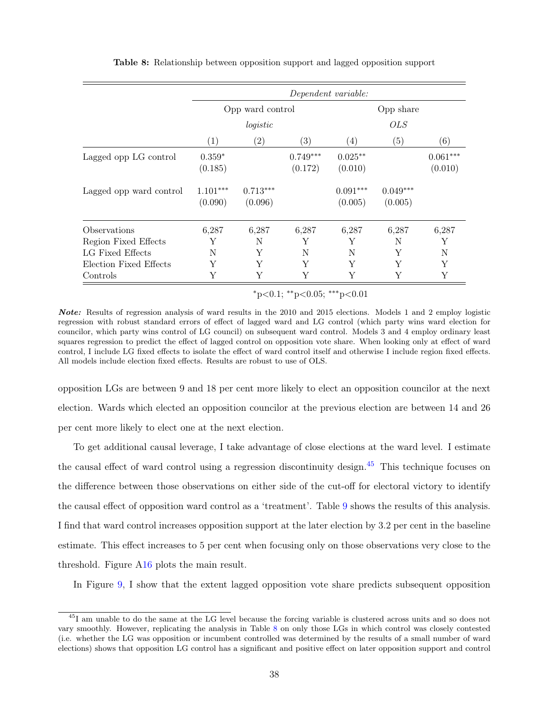<span id="page-37-0"></span>

|                         | Dependent variable:   |                       |                       |                       |                       |                       |
|-------------------------|-----------------------|-----------------------|-----------------------|-----------------------|-----------------------|-----------------------|
|                         | Opp ward control      |                       |                       |                       | Opp share             |                       |
|                         |                       | logistic              |                       |                       | <b>OLS</b>            |                       |
|                         | (1)                   | $\left( 2\right)$     | (3)                   | $\left( 4\right)$     | (5)                   | (6)                   |
| Lagged opp LG control   | $0.359*$<br>(0.185)   |                       | $0.749***$<br>(0.172) | $0.025***$<br>(0.010) |                       | $0.061***$<br>(0.010) |
| Lagged opp ward control | $1.101***$<br>(0.090) | $0.713***$<br>(0.096) |                       | $0.091***$<br>(0.005) | $0.049***$<br>(0.005) |                       |
| Observations            | 6,287                 | 6,287                 | 6,287                 | 6,287                 | 6,287                 | 6,287                 |
| Region Fixed Effects    | Y                     | N                     | Y                     | Y                     | N                     | Y                     |
| LG Fixed Effects        | N                     | Y                     | N                     | N                     | Y                     | N                     |
| Election Fixed Effects  | Y                     | Y                     | Y                     | Y                     | Y                     | Y                     |
| Controls                | Y                     | Y                     | Y                     | Y                     | Y                     | Y                     |

Table 8: Relationship between opposition support and lagged opposition support

 $*p<0.1$ ;  $*p<0.05$ ;  $**p<0.01$ 

Note: Results of regression analysis of ward results in the 2010 and 2015 elections. Models 1 and 2 employ logistic regression with robust standard errors of effect of lagged ward and LG control (which party wins ward election for councilor, which party wins control of LG council) on subsequent ward control. Models 3 and 4 employ ordinary least squares regression to predict the effect of lagged control on opposition vote share. When looking only at effect of ward control, I include LG fixed effects to isolate the effect of ward control itself and otherwise I include region fixed effects. All models include election fixed effects. Results are robust to use of OLS.

opposition LGs are between 9 and 18 per cent more likely to elect an opposition councilor at the next election. Wards which elected an opposition councilor at the previous election are between 14 and 26 per cent more likely to elect one at the next election.

To get additional causal leverage, I take advantage of close elections at the ward level. I estimate the causal effect of ward control using a regression discontinuity design.<sup>[45](#page-37-1)</sup> This technique focuses on the difference between those observations on either side of the cut-off for electoral victory to identify the causal effect of opposition ward control as a 'treatment'. Table [9](#page-38-0) shows the results of this analysis. I find that ward control increases opposition support at the later election by 3.2 per cent in the baseline estimate. This effect increases to 5 per cent when focusing only on those observations very close to the threshold. Figure [A16](#page-55-0) plots the main result.

In Figure [9,](#page-38-1) I show that the extent lagged opposition vote share predicts subsequent opposition

<span id="page-37-1"></span><sup>45</sup>I am unable to do the same at the LG level because the forcing variable is clustered across units and so does not vary smoothly. However, replicating the analysis in Table [8](#page-37-0) on only those LGs in which control was closely contested (i.e. whether the LG was opposition or incumbent controlled was determined by the results of a small number of ward elections) shows that opposition LG control has a significant and positive effect on later opposition support and control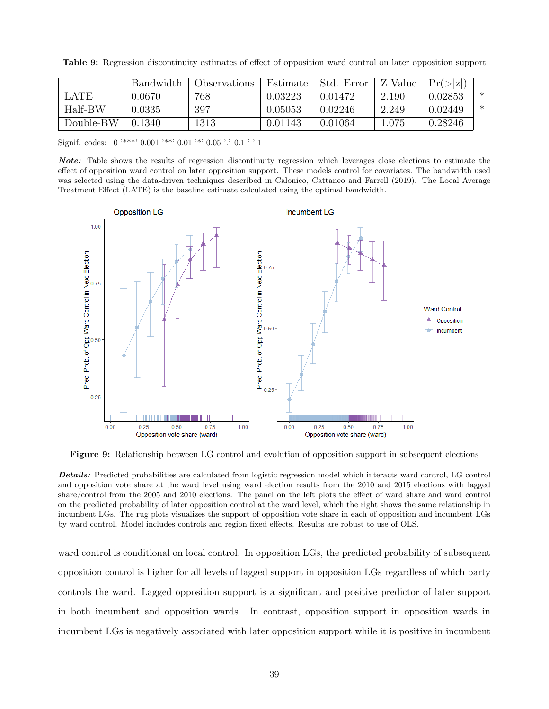|           | Bandwidth | Observations | Estimate | Std. Error | Z Value   | Pr(> z ) |   |
|-----------|-----------|--------------|----------|------------|-----------|----------|---|
| LATE.     | 0.0670    | 768          | 0.03223  | 0.01472    | 2.190     | 0.02853  | ∗ |
| Half-BW   | 0.0335    | 397          | 0.05053  | 0.02246    | 2.249     | 0.02449  | ∗ |
| Double-BW | 0.1340    | 1313         | 0.01143  | 0.01064    | $1.075\,$ | 0.28246  |   |

<span id="page-38-0"></span>Table 9: Regression discontinuity estimates of effect of opposition ward control on later opposition support

Signif. codes:  $0$ <sup>'\*\*\*</sup>'  $0.001$ '<sup>\*\*</sup>'  $0.01$ '<sup>\*</sup>'  $0.05$ '.'  $0.1$ '' 1

Note: Table shows the results of regression discontinuity regression which leverages close elections to estimate the effect of opposition ward control on later opposition support. These models control for covariates. The bandwidth used was selected using the data-driven techniques described in Calonico, Cattaneo and Farrell (2019). The Local Average Treatment Effect (LATE) is the baseline estimate calculated using the optimal bandwidth.

<span id="page-38-1"></span>

Figure 9: Relationship between LG control and evolution of opposition support in subsequent elections

Details: Predicted probabilities are calculated from logistic regression model which interacts ward control, LG control and opposition vote share at the ward level using ward election results from the 2010 and 2015 elections with lagged share/control from the 2005 and 2010 elections. The panel on the left plots the effect of ward share and ward control on the predicted probability of later opposition control at the ward level, which the right shows the same relationship in incumbent LGs. The rug plots visualizes the support of opposition vote share in each of opposition and incumbent LGs by ward control. Model includes controls and region fixed effects. Results are robust to use of OLS.

ward control is conditional on local control. In opposition LGs, the predicted probability of subsequent opposition control is higher for all levels of lagged support in opposition LGs regardless of which party controls the ward. Lagged opposition support is a significant and positive predictor of later support in both incumbent and opposition wards. In contrast, opposition support in opposition wards in incumbent LGs is negatively associated with later opposition support while it is positive in incumbent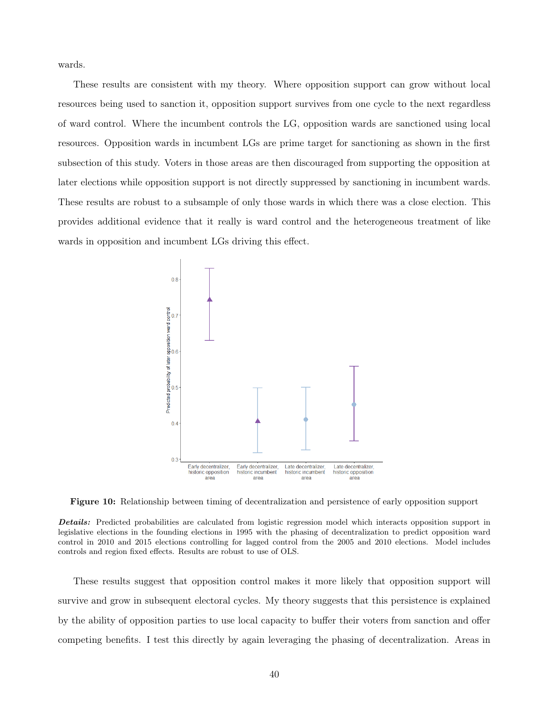wards.

These results are consistent with my theory. Where opposition support can grow without local resources being used to sanction it, opposition support survives from one cycle to the next regardless of ward control. Where the incumbent controls the LG, opposition wards are sanctioned using local resources. Opposition wards in incumbent LGs are prime target for sanctioning as shown in the first subsection of this study. Voters in those areas are then discouraged from supporting the opposition at later elections while opposition support is not directly suppressed by sanctioning in incumbent wards. These results are robust to a subsample of only those wards in which there was a close election. This provides additional evidence that it really is ward control and the heterogeneous treatment of like wards in opposition and incumbent LGs driving this effect.

<span id="page-39-0"></span>

Figure 10: Relationship between timing of decentralization and persistence of early opposition support

Details: Predicted probabilities are calculated from logistic regression model which interacts opposition support in legislative elections in the founding elections in 1995 with the phasing of decentralization to predict opposition ward control in 2010 and 2015 elections controlling for lagged control from the 2005 and 2010 elections. Model includes controls and region fixed effects. Results are robust to use of OLS.

These results suggest that opposition control makes it more likely that opposition support will survive and grow in subsequent electoral cycles. My theory suggests that this persistence is explained by the ability of opposition parties to use local capacity to buffer their voters from sanction and offer competing benefits. I test this directly by again leveraging the phasing of decentralization. Areas in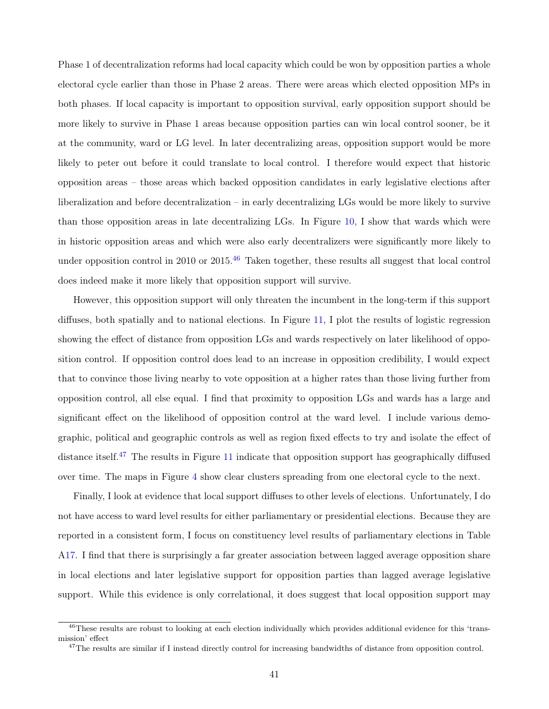Phase 1 of decentralization reforms had local capacity which could be won by opposition parties a whole electoral cycle earlier than those in Phase 2 areas. There were areas which elected opposition MPs in both phases. If local capacity is important to opposition survival, early opposition support should be more likely to survive in Phase 1 areas because opposition parties can win local control sooner, be it at the community, ward or LG level. In later decentralizing areas, opposition support would be more likely to peter out before it could translate to local control. I therefore would expect that historic opposition areas – those areas which backed opposition candidates in early legislative elections after liberalization and before decentralization – in early decentralizing LGs would be more likely to survive than those opposition areas in late decentralizing LGs. In Figure [10,](#page-39-0) I show that wards which were in historic opposition areas and which were also early decentralizers were significantly more likely to under opposition control in 2010 or 2015.<sup>[46](#page-40-0)</sup> Taken together, these results all suggest that local control does indeed make it more likely that opposition support will survive.

However, this opposition support will only threaten the incumbent in the long-term if this support diffuses, both spatially and to national elections. In Figure [11,](#page-41-0) I plot the results of logistic regression showing the effect of distance from opposition LGs and wards respectively on later likelihood of opposition control. If opposition control does lead to an increase in opposition credibility, I would expect that to convince those living nearby to vote opposition at a higher rates than those living further from opposition control, all else equal. I find that proximity to opposition LGs and wards has a large and significant effect on the likelihood of opposition control at the ward level. I include various demographic, political and geographic controls as well as region fixed effects to try and isolate the effect of distance itself.<sup>[47](#page-40-1)</sup> The results in Figure [11](#page-41-0) indicate that opposition support has geographically diffused over time. The maps in Figure [4](#page-17-0) show clear clusters spreading from one electoral cycle to the next.

Finally, I look at evidence that local support diffuses to other levels of elections. Unfortunately, I do not have access to ward level results for either parliamentary or presidential elections. Because they are reported in a consistent form, I focus on constituency level results of parliamentary elections in Table [A17.](#page-55-1) I find that there is surprisingly a far greater association between lagged average opposition share in local elections and later legislative support for opposition parties than lagged average legislative support. While this evidence is only correlational, it does suggest that local opposition support may

<span id="page-40-0"></span> $^{46}$ These results are robust to looking at each election individually which provides additional evidence for this 'transmission' effect

<span id="page-40-1"></span><sup>&</sup>lt;sup>47</sup>The results are similar if I instead directly control for increasing bandwidths of distance from opposition control.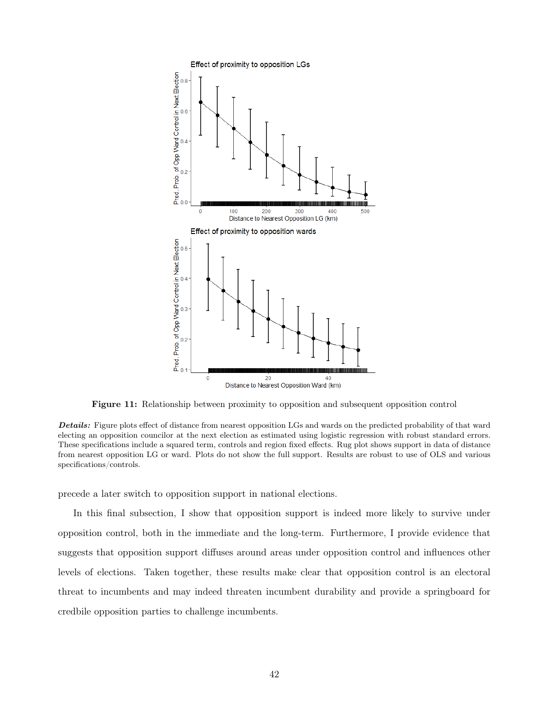<span id="page-41-0"></span>

Figure 11: Relationship between proximity to opposition and subsequent opposition control

Details: Figure plots effect of distance from nearest opposition LGs and wards on the predicted probability of that ward electing an opposition councilor at the next election as estimated using logistic regression with robust standard errors. These specifications include a squared term, controls and region fixed effects. Rug plot shows support in data of distance from nearest opposition LG or ward. Plots do not show the full support. Results are robust to use of OLS and various specifications/controls.

precede a later switch to opposition support in national elections.

In this final subsection, I show that opposition support is indeed more likely to survive under opposition control, both in the immediate and the long-term. Furthermore, I provide evidence that suggests that opposition support diffuses around areas under opposition control and influences other levels of elections. Taken together, these results make clear that opposition control is an electoral threat to incumbents and may indeed threaten incumbent durability and provide a springboard for credbile opposition parties to challenge incumbents.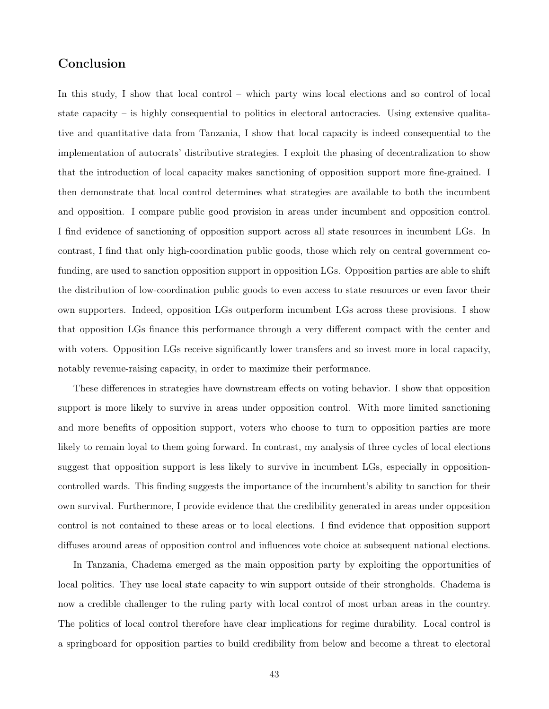# Conclusion

In this study, I show that local control – which party wins local elections and so control of local state capacity – is highly consequential to politics in electoral autocracies. Using extensive qualitative and quantitative data from Tanzania, I show that local capacity is indeed consequential to the implementation of autocrats' distributive strategies. I exploit the phasing of decentralization to show that the introduction of local capacity makes sanctioning of opposition support more fine-grained. I then demonstrate that local control determines what strategies are available to both the incumbent and opposition. I compare public good provision in areas under incumbent and opposition control. I find evidence of sanctioning of opposition support across all state resources in incumbent LGs. In contrast, I find that only high-coordination public goods, those which rely on central government cofunding, are used to sanction opposition support in opposition LGs. Opposition parties are able to shift the distribution of low-coordination public goods to even access to state resources or even favor their own supporters. Indeed, opposition LGs outperform incumbent LGs across these provisions. I show that opposition LGs finance this performance through a very different compact with the center and with voters. Opposition LGs receive significantly lower transfers and so invest more in local capacity, notably revenue-raising capacity, in order to maximize their performance.

These differences in strategies have downstream effects on voting behavior. I show that opposition support is more likely to survive in areas under opposition control. With more limited sanctioning and more benefits of opposition support, voters who choose to turn to opposition parties are more likely to remain loyal to them going forward. In contrast, my analysis of three cycles of local elections suggest that opposition support is less likely to survive in incumbent LGs, especially in oppositioncontrolled wards. This finding suggests the importance of the incumbent's ability to sanction for their own survival. Furthermore, I provide evidence that the credibility generated in areas under opposition control is not contained to these areas or to local elections. I find evidence that opposition support diffuses around areas of opposition control and influences vote choice at subsequent national elections.

In Tanzania, Chadema emerged as the main opposition party by exploiting the opportunities of local politics. They use local state capacity to win support outside of their strongholds. Chadema is now a credible challenger to the ruling party with local control of most urban areas in the country. The politics of local control therefore have clear implications for regime durability. Local control is a springboard for opposition parties to build credibility from below and become a threat to electoral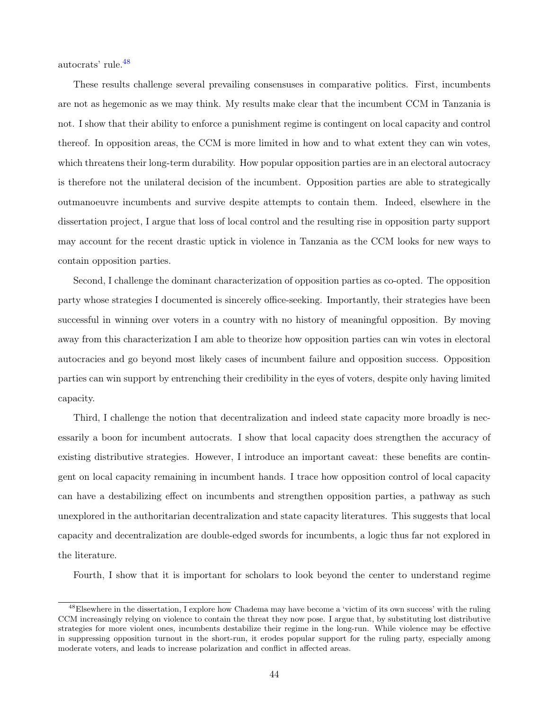autocrats' rule.[48](#page-43-0)

These results challenge several prevailing consensuses in comparative politics. First, incumbents are not as hegemonic as we may think. My results make clear that the incumbent CCM in Tanzania is not. I show that their ability to enforce a punishment regime is contingent on local capacity and control thereof. In opposition areas, the CCM is more limited in how and to what extent they can win votes, which threatens their long-term durability. How popular opposition parties are in an electoral autocracy is therefore not the unilateral decision of the incumbent. Opposition parties are able to strategically outmanoeuvre incumbents and survive despite attempts to contain them. Indeed, elsewhere in the dissertation project, I argue that loss of local control and the resulting rise in opposition party support may account for the recent drastic uptick in violence in Tanzania as the CCM looks for new ways to contain opposition parties.

Second, I challenge the dominant characterization of opposition parties as co-opted. The opposition party whose strategies I documented is sincerely office-seeking. Importantly, their strategies have been successful in winning over voters in a country with no history of meaningful opposition. By moving away from this characterization I am able to theorize how opposition parties can win votes in electoral autocracies and go beyond most likely cases of incumbent failure and opposition success. Opposition parties can win support by entrenching their credibility in the eyes of voters, despite only having limited capacity.

Third, I challenge the notion that decentralization and indeed state capacity more broadly is necessarily a boon for incumbent autocrats. I show that local capacity does strengthen the accuracy of existing distributive strategies. However, I introduce an important caveat: these benefits are contingent on local capacity remaining in incumbent hands. I trace how opposition control of local capacity can have a destabilizing effect on incumbents and strengthen opposition parties, a pathway as such unexplored in the authoritarian decentralization and state capacity literatures. This suggests that local capacity and decentralization are double-edged swords for incumbents, a logic thus far not explored in the literature.

Fourth, I show that it is important for scholars to look beyond the center to understand regime

<span id="page-43-0"></span><sup>48</sup>Elsewhere in the dissertation, I explore how Chadema may have become a 'victim of its own success' with the ruling CCM increasingly relying on violence to contain the threat they now pose. I argue that, by substituting lost distributive strategies for more violent ones, incumbents destabilize their regime in the long-run. While violence may be effective in suppressing opposition turnout in the short-run, it erodes popular support for the ruling party, especially among moderate voters, and leads to increase polarization and conflict in affected areas.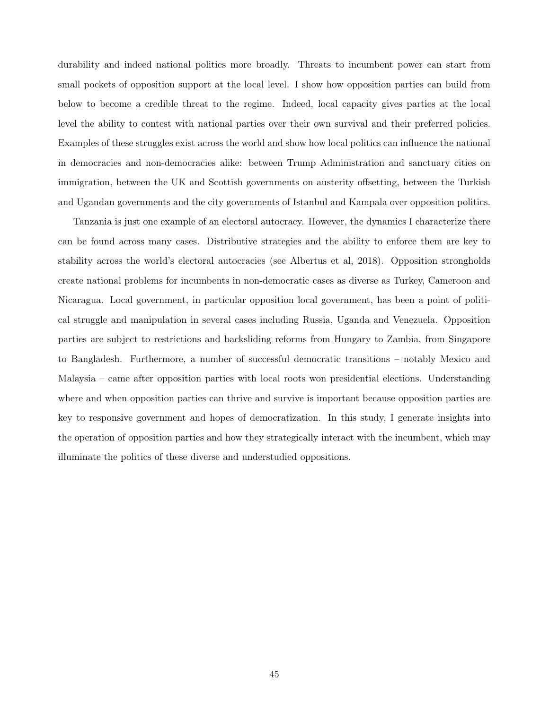durability and indeed national politics more broadly. Threats to incumbent power can start from small pockets of opposition support at the local level. I show how opposition parties can build from below to become a credible threat to the regime. Indeed, local capacity gives parties at the local level the ability to contest with national parties over their own survival and their preferred policies. Examples of these struggles exist across the world and show how local politics can influence the national in democracies and non-democracies alike: between Trump Administration and sanctuary cities on immigration, between the UK and Scottish governments on austerity offsetting, between the Turkish and Ugandan governments and the city governments of Istanbul and Kampala over opposition politics.

Tanzania is just one example of an electoral autocracy. However, the dynamics I characterize there can be found across many cases. Distributive strategies and the ability to enforce them are key to stability across the world's electoral autocracies (see Albertus et al, 2018). Opposition strongholds create national problems for incumbents in non-democratic cases as diverse as Turkey, Cameroon and Nicaragua. Local government, in particular opposition local government, has been a point of political struggle and manipulation in several cases including Russia, Uganda and Venezuela. Opposition parties are subject to restrictions and backsliding reforms from Hungary to Zambia, from Singapore to Bangladesh. Furthermore, a number of successful democratic transitions – notably Mexico and Malaysia – came after opposition parties with local roots won presidential elections. Understanding where and when opposition parties can thrive and survive is important because opposition parties are key to responsive government and hopes of democratization. In this study, I generate insights into the operation of opposition parties and how they strategically interact with the incumbent, which may illuminate the politics of these diverse and understudied oppositions.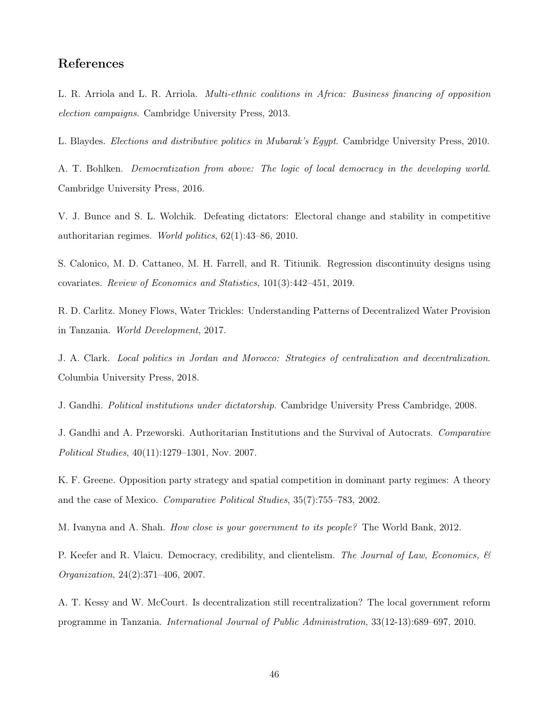# References

L. R. Arriola and L. R. Arriola. Multi-ethnic coalitions in Africa: Business financing of opposition election campaigns. Cambridge University Press, 2013.

L. Blaydes. Elections and distributive politics in Mubarak's Egypt. Cambridge University Press, 2010.

A. T. Bohlken. Democratization from above: The logic of local democracy in the developing world. Cambridge University Press, 2016.

V. J. Bunce and S. L. Wolchik. Defeating dictators: Electoral change and stability in competitive authoritarian regimes. World politics, 62(1):43–86, 2010.

S. Calonico, M. D. Cattaneo, M. H. Farrell, and R. Titiunik. Regression discontinuity designs using covariates. Review of Economics and Statistics, 101(3):442–451, 2019.

R. D. Carlitz. Money Flows, Water Trickles: Understanding Patterns of Decentralized Water Provision in Tanzania. World Development, 2017.

J. A. Clark. Local politics in Jordan and Morocco: Strategies of centralization and decentralization. Columbia University Press, 2018.

J. Gandhi. Political institutions under dictatorship. Cambridge University Press Cambridge, 2008.

J. Gandhi and A. Przeworski. Authoritarian Institutions and the Survival of Autocrats. Comparative Political Studies, 40(11):1279–1301, Nov. 2007.

K. F. Greene. Opposition party strategy and spatial competition in dominant party regimes: A theory and the case of Mexico. Comparative Political Studies, 35(7):755–783, 2002.

M. Ivanyna and A. Shah. *How close is your government to its people?* The World Bank, 2012.

P. Keefer and R. Vlaicu. Democracy, credibility, and clientelism. The Journal of Law, Economics,  $\mathcal{B}$ Organization, 24(2):371–406, 2007.

A. T. Kessy and W. McCourt. Is decentralization still recentralization? The local government reform programme in Tanzania. International Journal of Public Administration, 33(12-13):689–697, 2010.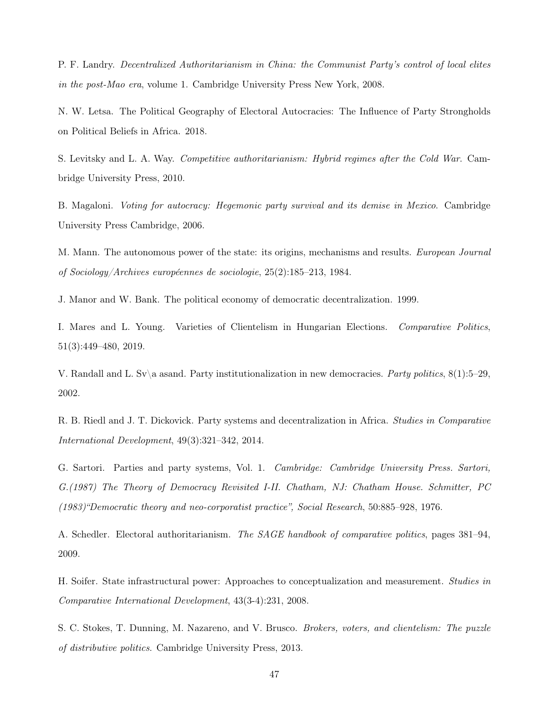P. F. Landry. Decentralized Authoritarianism in China: the Communist Party's control of local elites in the post-Mao era, volume 1. Cambridge University Press New York, 2008.

N. W. Letsa. The Political Geography of Electoral Autocracies: The Influence of Party Strongholds on Political Beliefs in Africa. 2018.

S. Levitsky and L. A. Way. Competitive authoritarianism: Hybrid regimes after the Cold War. Cambridge University Press, 2010.

B. Magaloni. Voting for autocracy: Hegemonic party survival and its demise in Mexico. Cambridge University Press Cambridge, 2006.

M. Mann. The autonomous power of the state: its origins, mechanisms and results. *European Journal* of Sociology/Archives européennes de sociologie, 25(2):185–213, 1984.

J. Manor and W. Bank. The political economy of democratic decentralization. 1999.

I. Mares and L. Young. Varieties of Clientelism in Hungarian Elections. Comparative Politics, 51(3):449–480, 2019.

V. Randall and L. Sv\a asand. Party institutionalization in new democracies. Party politics,  $8(1):5-29$ , 2002.

R. B. Riedl and J. T. Dickovick. Party systems and decentralization in Africa. Studies in Comparative International Development, 49(3):321–342, 2014.

G. Sartori. Parties and party systems, Vol. 1. Cambridge: Cambridge University Press. Sartori, G.(1987) The Theory of Democracy Revisited I-II. Chatham, NJ: Chatham House. Schmitter, PC (1983)"Democratic theory and neo-corporatist practice", Social Research, 50:885–928, 1976.

A. Schedler. Electoral authoritarianism. The SAGE handbook of comparative politics, pages 381–94, 2009.

H. Soifer. State infrastructural power: Approaches to conceptualization and measurement. Studies in Comparative International Development, 43(3-4):231, 2008.

S. C. Stokes, T. Dunning, M. Nazareno, and V. Brusco. Brokers, voters, and clientelism: The puzzle of distributive politics. Cambridge University Press, 2013.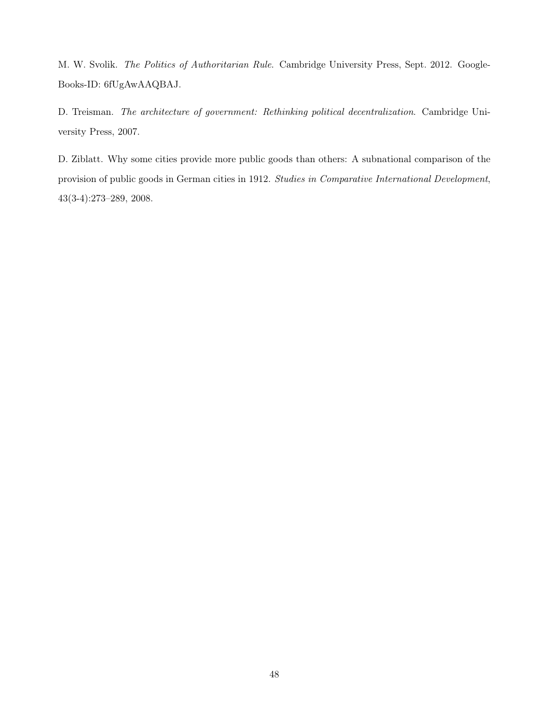M. W. Svolik. The Politics of Authoritarian Rule. Cambridge University Press, Sept. 2012. Google-Books-ID: 6fUgAwAAQBAJ.

D. Treisman. The architecture of government: Rethinking political decentralization. Cambridge University Press, 2007.

D. Ziblatt. Why some cities provide more public goods than others: A subnational comparison of the provision of public goods in German cities in 1912. Studies in Comparative International Development, 43(3-4):273–289, 2008.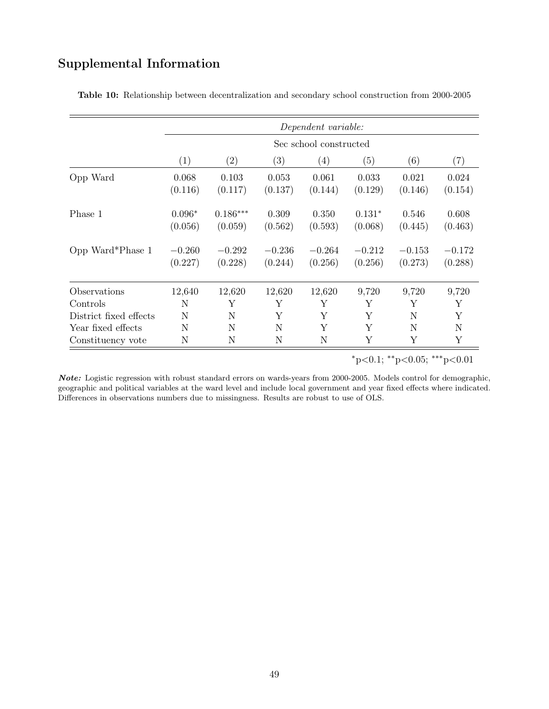# Supplemental Information

|                        |                     | Dependent variable:    |                     |                     |                     |                     |                     |  |
|------------------------|---------------------|------------------------|---------------------|---------------------|---------------------|---------------------|---------------------|--|
|                        |                     | Sec school constructed |                     |                     |                     |                     |                     |  |
|                        | $\left(1\right)$    | $\left( 2\right)$      | (3)                 | (4)                 | (5)                 | (6)                 | $\left( 7\right)$   |  |
| Opp Ward               | 0.068<br>(0.116)    | 0.103<br>(0.117)       | 0.053<br>(0.137)    | 0.061<br>(0.144)    | 0.033<br>(0.129)    | 0.021<br>(0.146)    | 0.024<br>(0.154)    |  |
| Phase 1                | $0.096*$<br>(0.056) | $0.186***$<br>(0.059)  | 0.309<br>(0.562)    | 0.350<br>(0.593)    | $0.131*$<br>(0.068) | 0.546<br>(0.445)    | 0.608<br>(0.463)    |  |
| Opp Ward*Phase 1       | $-0.260$<br>(0.227) | $-0.292$<br>(0.228)    | $-0.236$<br>(0.244) | $-0.264$<br>(0.256) | $-0.212$<br>(0.256) | $-0.153$<br>(0.273) | $-0.172$<br>(0.288) |  |
| Observations           | 12,640              | 12,620                 | 12,620              | 12,620              | 9,720               | 9,720               | 9,720               |  |
| Controls               | N                   | Υ                      | Y                   | Y                   | Y                   | Y                   | Y                   |  |
| District fixed effects | N                   | N                      | Y                   | Y                   | Y                   | N                   | Y                   |  |
| Year fixed effects     | N                   | N                      | N                   | Y                   | Y                   | N                   | N                   |  |
| Constituency vote      | N                   | N                      | N                   | N                   | Υ                   | Υ                   | Υ                   |  |

<span id="page-48-0"></span>Table 10: Relationship between decentralization and secondary school construction from 2000-2005

<sup>∗</sup>p<0.1; ∗∗p<0.05; ∗∗∗p<0.01

Note: Logistic regression with robust standard errors on wards-years from 2000-2005. Models control for demographic, geographic and political variables at the ward level and include local government and year fixed effects where indicated. Differences in observations numbers due to missingness. Results are robust to use of OLS.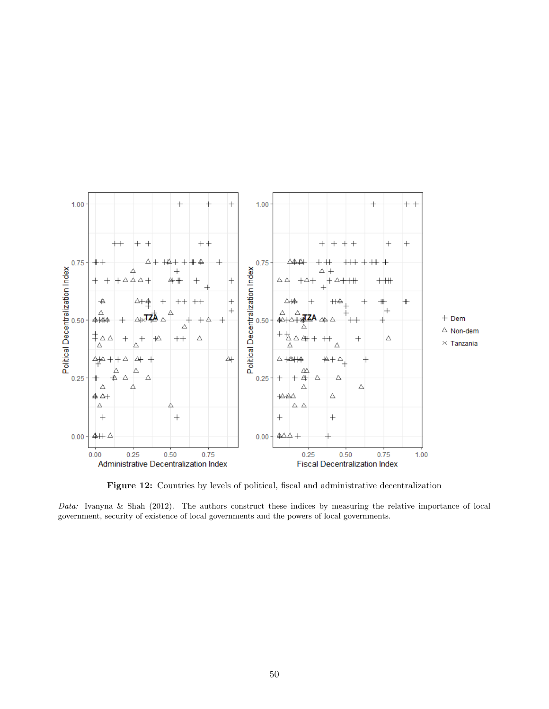<span id="page-49-0"></span>

Figure 12: Countries by levels of political, fiscal and administrative decentralization

Data: Ivanyna & Shah (2012). The authors construct these indices by measuring the relative importance of local government, security of existence of local governments and the powers of local governments.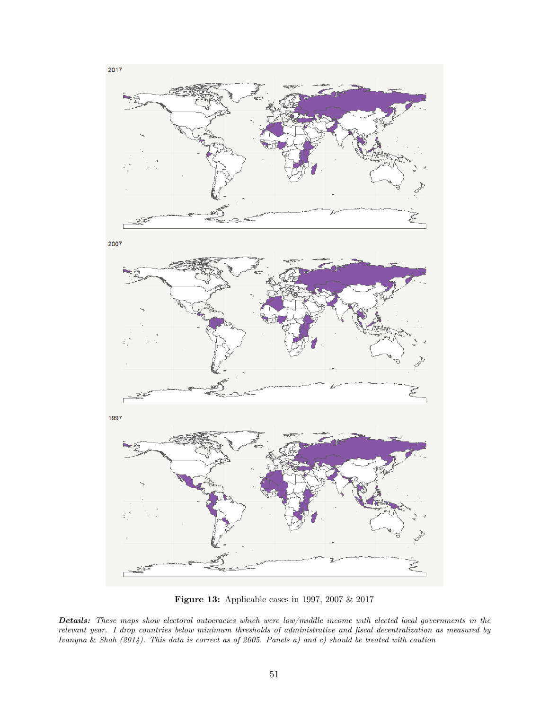<span id="page-50-0"></span>

Figure 13: Applicable cases in 1997, 2007 & 2017

Details: These maps show electoral autocracies which were low/middle income with elected local governments in the relevant year. I drop countries below minimum thresholds of administrative and fiscal decentralization as measured by Ivanyna & Shah (2014). This data is correct as of 2005. Panels a) and c) should be treated with caution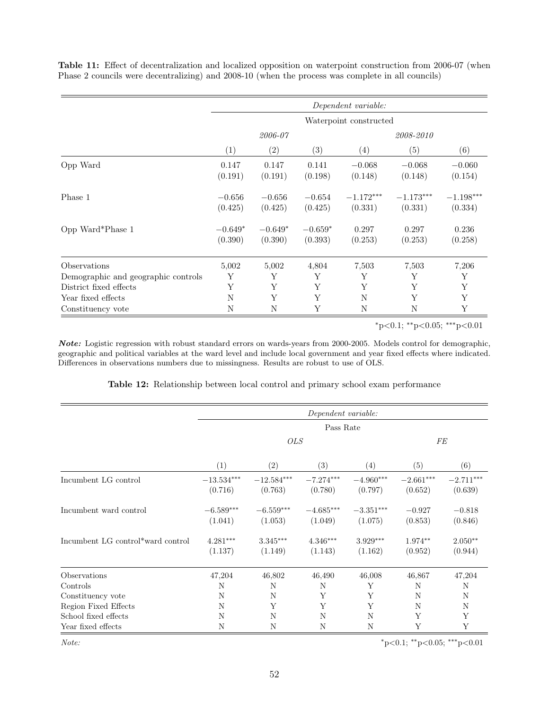<span id="page-51-0"></span>Table 11: Effect of decentralization and localized opposition on waterpoint construction from 2006-07 (when Phase 2 councils were decentralizing) and 2008-10 (when the process was complete in all councils)

|                                     |                        |           |           | Dependent variable: |             |             |
|-------------------------------------|------------------------|-----------|-----------|---------------------|-------------|-------------|
|                                     | Waterpoint constructed |           |           |                     |             |             |
|                                     | 2006-07                |           |           | 2008-2010           |             |             |
|                                     | (1)                    | (2)       | (3)       | (4)                 | (5)         | (6)         |
| Opp Ward                            | 0.147                  | 0.147     | 0.141     | $-0.068$            | $-0.068$    | $-0.060$    |
|                                     | (0.191)                | (0.191)   | (0.198)   | (0.148)             | (0.148)     | (0.154)     |
| Phase 1                             | $-0.656$               | $-0.656$  | $-0.654$  | $-1.172***$         | $-1.173***$ | $-1.198***$ |
|                                     | (0.425)                | (0.425)   | (0.425)   | (0.331)             | (0.331)     | (0.334)     |
| Opp Ward*Phase 1                    | $-0.649*$              | $-0.649*$ | $-0.659*$ | 0.297               | 0.297       | 0.236       |
|                                     | (0.390)                | (0.390)   | (0.393)   | (0.253)             | (0.253)     | (0.258)     |
| Observations                        | 5,002                  | 5,002     | 4,804     | 7,503               | 7,503       | 7,206       |
| Demographic and geographic controls | Υ                      | Υ         | Y         | Y                   | Y           | Υ           |
| District fixed effects              | Υ                      | Υ         | Υ         | Υ                   | Υ           | Υ           |
| Year fixed effects                  | N                      | Υ         | Υ         | N                   | Y           | Υ           |
| Constituency vote                   | N                      | Ν         | Y         | N                   | N           | Y           |

<sup>∗</sup>p<0.1; ∗∗p<0.05; ∗∗∗p<0.01

Note: Logistic regression with robust standard errors on wards-years from 2000-2005. Models control for demographic, geographic and political variables at the ward level and include local government and year fixed effects where indicated. Differences in observations numbers due to missingness. Results are robust to use of OLS.

Table 12: Relationship between local control and primary school exam performance

<span id="page-51-1"></span>

|                                   |                         |                                     | Dependent variable:    |                        |                        |                        |  |
|-----------------------------------|-------------------------|-------------------------------------|------------------------|------------------------|------------------------|------------------------|--|
|                                   |                         |                                     | Pass Rate              |                        |                        |                        |  |
|                                   | <b>OLS</b>              |                                     |                        |                        | <b>FE</b>              |                        |  |
|                                   | (1)                     | (2)                                 | (3)                    | (4)                    | (5)                    | (6)                    |  |
| Incumbent LG control              | $-13.534***$<br>(0.716) | $-12.584^{\ast\ast\ast}$<br>(0.763) | $-7.274***$<br>(0.780) | $-4.960***$<br>(0.797) | $-2.661***$<br>(0.652) | $-2.711***$<br>(0.639) |  |
| Incumbent ward control            | $-6.589***$<br>(1.041)  | $-6.559^{\ast\ast\ast}$<br>(1.053)  | $-4.685***$<br>(1.049) | $-3.351***$<br>(1.075) | $-0.927$<br>(0.853)    | $-0.818$<br>(0.846)    |  |
| Incumbent LG control*ward control | $4.281***$<br>(1.137)   | $3.345^{\ast\ast\ast}$<br>(1.149)   | $4.346***$<br>(1.143)  | $3.929***$<br>(1.162)  | $1.974**$<br>(0.952)   | $2.050**$<br>(0.944)   |  |
| Observations                      | 47,204                  | 46,802                              | 46,490                 | 46,008                 | 46,867                 | 47,204                 |  |
| Controls                          | N                       | N                                   | N                      | Y                      | N                      | N                      |  |
| Constituency vote                 | N                       | N                                   | Y                      | Υ                      | N                      | N                      |  |
| Region Fixed Effects              | N                       | Υ                                   | Y                      | Υ                      | N                      | N                      |  |
| School fixed effects              | N                       | N                                   | N                      | N                      | Υ                      | Υ                      |  |
| Year fixed effects                | N                       | N                                   | N                      | N                      | Y                      | Y                      |  |

 $Note:$   $*_{p<0.1; *_{p}<0.05; **p<0.01}$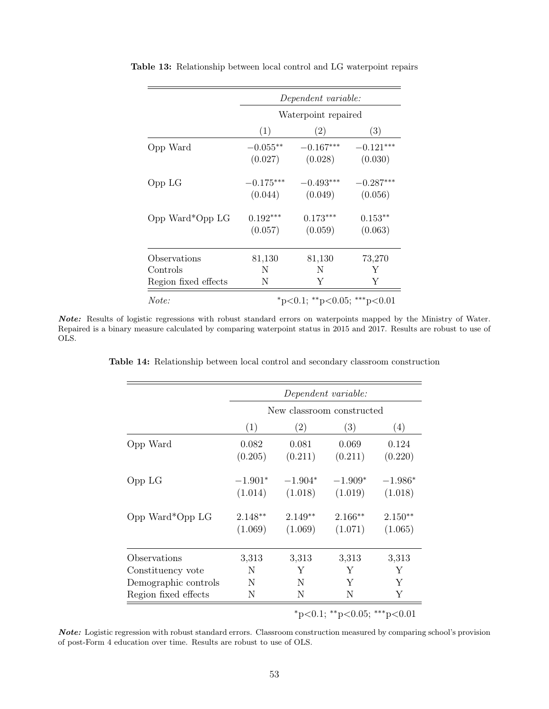|                      | Dependent variable: |                             |             |  |  |
|----------------------|---------------------|-----------------------------|-------------|--|--|
|                      | Waterpoint repaired |                             |             |  |  |
|                      | (1)                 | (2)                         | (3)         |  |  |
| Opp Ward             | $-0.055**$          | $-0.167***$                 | $-0.121***$ |  |  |
|                      | (0.027)             | (0.028)                     | (0.030)     |  |  |
| Opp LG               | $-0.175***$         | $-0.493***$                 | $-0.287***$ |  |  |
|                      | (0.044)             | (0.049)                     | (0.056)     |  |  |
| Opp Ward*Opp LG      | $0.192***$          | $0.173***$                  | $0.153**$   |  |  |
|                      | (0.057)             | (0.059)                     | (0.063)     |  |  |
| Observations         | 81,130              | 81,130                      | 73,270      |  |  |
| Controls             | N                   | N                           | Y           |  |  |
| Region fixed effects | N                   | Y                           | Y           |  |  |
| Note:                |                     | *p<0.1; **p<0.05; ***p<0.01 |             |  |  |

<span id="page-52-0"></span>Table 13: Relationship between local control and LG waterpoint repairs

<span id="page-52-1"></span>Note: Results of logistic regressions with robust standard errors on waterpoints mapped by the Ministry of Water. Repaired is a binary measure calculated by comparing waterpoint status in 2015 and 2017. Results are robust to use of OLS.

Table 14: Relationship between local control and secondary classroom construction

|                             | Dependent variable:       |                      |                      |                      |  |  |
|-----------------------------|---------------------------|----------------------|----------------------|----------------------|--|--|
|                             | New classroom constructed |                      |                      |                      |  |  |
|                             | (1)                       | (2)                  | (3)                  | (4)                  |  |  |
| Opp Ward                    | 0.082<br>(0.205)          | 0.081<br>(0.211)     | 0.069<br>(0.211)     | 0.124<br>(0.220)     |  |  |
| Opp LG                      | $-1.901*$<br>(1.014)      | $-1.904*$<br>(1.018) | $-1.909*$<br>(1.019) | $-1.986*$<br>(1.018) |  |  |
| Opp Ward*Opp LG             | $2.148**$<br>(1.069)      | $2.149**$<br>(1.069) | $2.166**$<br>(1.071) | $2.150**$<br>(1.065) |  |  |
| Observations                | 3,313                     | 3,313                | 3,313                | 3,313                |  |  |
| Constituency vote           | N                         | Y                    | Y                    | Y                    |  |  |
| Demographic controls        | N                         | N                    | Y                    | Y                    |  |  |
| Region fixed effects        | Ν                         | Ν                    | N                    | Y                    |  |  |
| *p<0.1; **p<0.05; ***p<0.01 |                           |                      |                      |                      |  |  |

Note: Logistic regression with robust standard errors. Classroom construction measured by comparing school's provision of post-Form 4 education over time. Results are robust to use of OLS.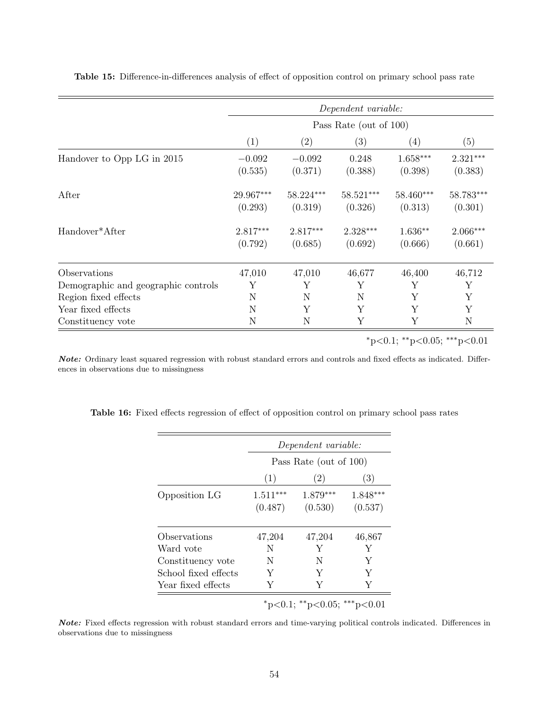|                                     |                        |                        | Dependent variable:   |                       |                        |
|-------------------------------------|------------------------|------------------------|-----------------------|-----------------------|------------------------|
|                                     | Pass Rate (out of 100) |                        |                       |                       |                        |
|                                     | (1)                    | (2)                    | (3)                   | $\left( 4\right)$     | (5)                    |
| Handover to Opp LG in 2015          | $-0.092$<br>(0.535)    | $-0.092$<br>(0.371)    | 0.248<br>(0.388)      | $1.658***$<br>(0.398) | $2.321***$<br>(0.383)  |
| After                               | 29.967***<br>(0.293)   | $58.224***$<br>(0.319) | 58.521***<br>(0.326)  | 58.460***<br>(0.313)  | $58.783***$<br>(0.301) |
| Handover*After                      | $2.817***$<br>(0.792)  | $2.817***$<br>(0.685)  | $2.328***$<br>(0.692) | $1.636**$<br>(0.666)  | $2.066***$<br>(0.661)  |
| Observations                        | 47,010                 | 47,010                 | 46,677                | 46,400                | 46,712                 |
| Demographic and geographic controls | Υ                      | Y                      | Υ                     | Υ                     | Y                      |
| Region fixed effects                | N                      | N                      | N                     | Υ                     | Y                      |
| Year fixed effects                  | N                      | Υ                      | Y                     | Υ                     | Y                      |
| Constituency vote                   | N                      | N                      | Υ                     | Υ                     | N                      |

<span id="page-53-0"></span>Table 15: Difference-in-differences analysis of effect of opposition control on primary school pass rate

 $*p<0.1; **p<0.05; **p<0.01$ 

Note: Ordinary least squared regression with robust standard errors and controls and fixed effects as indicated. Differences in observations due to missingness

|                      | Dependent variable:    |                     |                       |  |  |  |
|----------------------|------------------------|---------------------|-----------------------|--|--|--|
|                      | Pass Rate (out of 100) |                     |                       |  |  |  |
|                      | (1)<br>(2)             |                     | (3)                   |  |  |  |
| Opposition LG        | $1.511***$<br>(0.487)  | 1.879***<br>(0.530) | $1.848***$<br>(0.537) |  |  |  |
| Observations         | 47,204                 | 47,204              | 46,867                |  |  |  |
| Ward vote            | N                      | Y                   | Y                     |  |  |  |
| Constituency vote    | N                      | N                   | Y                     |  |  |  |
| School fixed effects | Y                      | Y                   | Y                     |  |  |  |
| Year fixed effects   | Y                      | Y                   | Y                     |  |  |  |

<span id="page-53-1"></span>Table 16: Fixed effects regression of effect of opposition control on primary school pass rates

Note: Fixed effects regression with robust standard errors and time-varying political controls indicated. Differences in observations due to missingness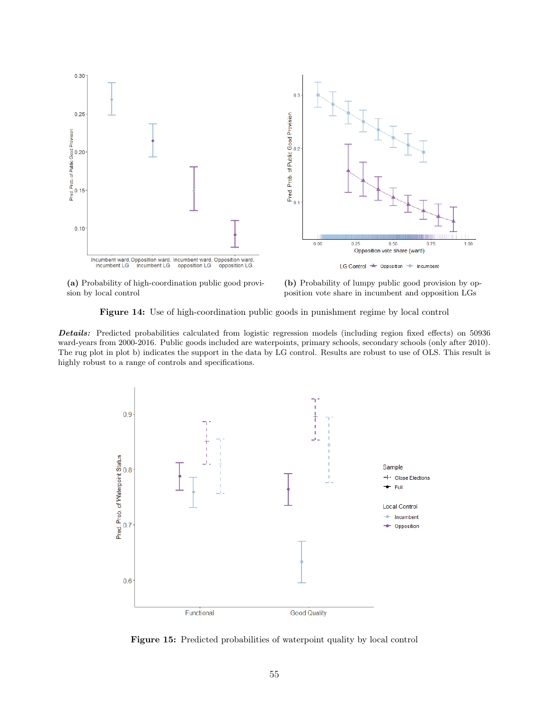<span id="page-54-0"></span>

(a) Probability of high-coordination public good provision by local control

(b) Probability of lumpy public good provision by opposition vote share in incumbent and opposition LGs

Figure 14: Use of high-coordination public goods in punishment regime by local control

Details: Predicted probabilities calculated from logistic regression models (including region fixed effects) on 50936 ward-years from 2000-2016. Public goods included are waterpoints, primary schools, secondary schools (only after 2010). The rug plot in plot b) indicates the support in the data by LG control. Results are robust to use of OLS. This result is highly robust to a range of controls and specifications.

<span id="page-54-1"></span>

Figure 15: Predicted probabilities of waterpoint quality by local control